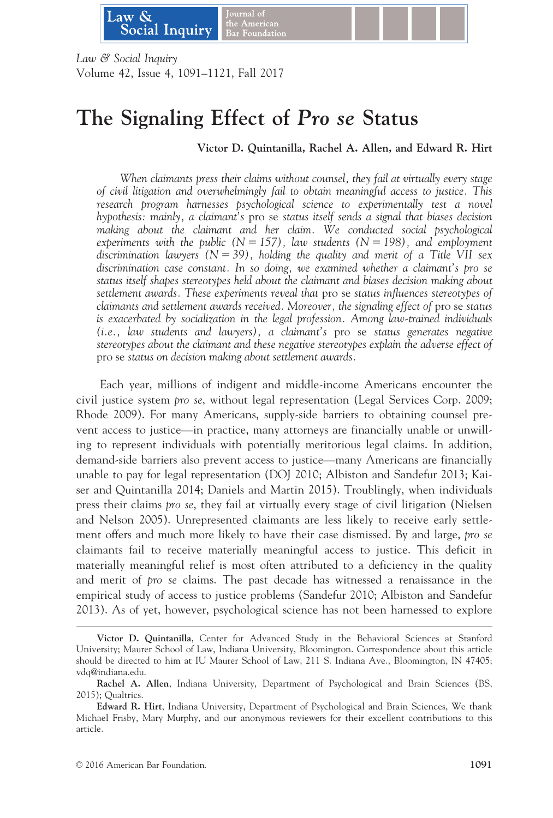

Law & Social Inquiry Volume 42, Issue 4, 1091–1121, Fall 2017

### The Signaling Effect of Pro se Status

Victor D. Quintanilla, Rachel A. Allen, and Edward R. Hirt

When claimants press their claims without counsel, they fail at virtually every stage of civil litigation and overwhelmingly fail to obtain meaningful access to justice. This research program harnesses psychological science to experimentally test a novel hypothesis: mainly, a claimant's pro se status itself sends a signal that biases decision making about the claimant and her claim. We conducted social psychological experiments with the public ( $N = 157$ ), law students ( $N = 198$ ), and employment discrimination lawyers  $(N = 39)$ , holding the quality and merit of a Title VII sex discrimination case constant. In so doing, we examined whether a claimant's pro se status itself shapes stereotypes held about the claimant and biases decision making about settlement awards. These experiments reveal that pro se status influences stereotypes of claimants and settlement awards received. Moreover, the signaling effect of pro se status is exacerbated by socialization in the legal profession. Among law-trained individuals (i.e., law students and lawyers), a claimant's pro se status generates negative stereotypes about the claimant and these negative stereotypes explain the adverse effect of pro se status on decision making about settlement awards.

Each year, millions of indigent and middle-income Americans encounter the civil justice system pro se, without legal representation (Legal Services Corp. 2009; Rhode 2009). For many Americans, supply-side barriers to obtaining counsel prevent access to justice—in practice, many attorneys are financially unable or unwilling to represent individuals with potentially meritorious legal claims. In addition, demand-side barriers also prevent access to justice—many Americans are financially unable to pay for legal representation (DOJ 2010; Albiston and Sandefur 2013; Kaiser and Quintanilla 2014; Daniels and Martin 2015). Troublingly, when individuals press their claims pro se, they fail at virtually every stage of civil litigation (Nielsen and Nelson 2005). Unrepresented claimants are less likely to receive early settlement offers and much more likely to have their case dismissed. By and large, pro se claimants fail to receive materially meaningful access to justice. This deficit in materially meaningful relief is most often attributed to a deficiency in the quality and merit of pro se claims. The past decade has witnessed a renaissance in the empirical study of access to justice problems (Sandefur 2010; Albiston and Sandefur 2013). As of yet, however, psychological science has not been harnessed to explore

Victor D. Quintanilla, Center for Advanced Study in the Behavioral Sciences at Stanford University; Maurer School of Law, Indiana University, Bloomington. Correspondence about this article should be directed to him at IU Maurer School of Law, 211 S. Indiana Ave., Bloomington, IN 47405; vdq@indiana.edu.

Rachel A. Allen, Indiana University, Department of Psychological and Brain Sciences (BS, 2015); Qualtrics.

Edward R. Hirt, Indiana University, Department of Psychological and Brain Sciences, We thank Michael Frisby, Mary Murphy, and our anonymous reviewers for their excellent contributions to this article.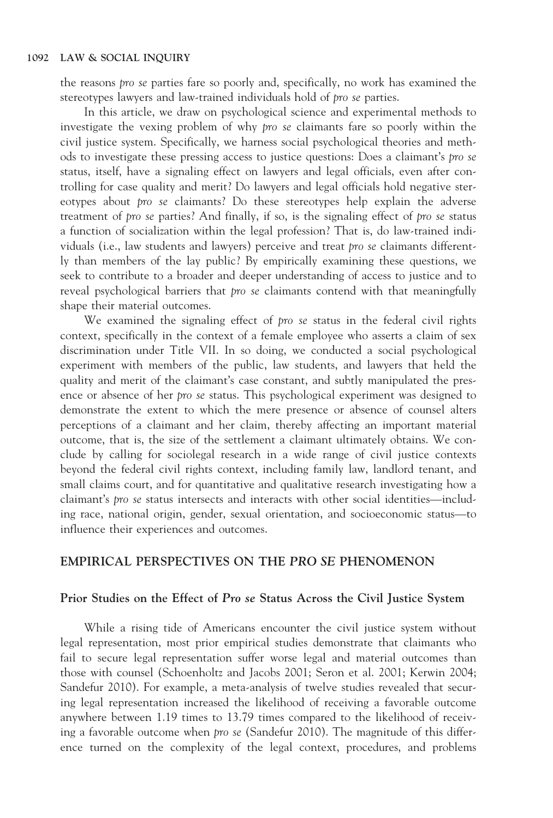the reasons pro se parties fare so poorly and, specifically, no work has examined the stereotypes lawyers and law-trained individuals hold of pro se parties.

In this article, we draw on psychological science and experimental methods to investigate the vexing problem of why pro se claimants fare so poorly within the civil justice system. Specifically, we harness social psychological theories and methods to investigate these pressing access to justice questions: Does a claimant's pro se status, itself, have a signaling effect on lawyers and legal officials, even after controlling for case quality and merit? Do lawyers and legal officials hold negative stereotypes about pro se claimants? Do these stereotypes help explain the adverse treatment of pro se parties? And finally, if so, is the signaling effect of pro se status a function of socialization within the legal profession? That is, do law-trained individuals (i.e., law students and lawyers) perceive and treat pro se claimants differently than members of the lay public? By empirically examining these questions, we seek to contribute to a broader and deeper understanding of access to justice and to reveal psychological barriers that pro se claimants contend with that meaningfully shape their material outcomes.

We examined the signaling effect of pro se status in the federal civil rights context, specifically in the context of a female employee who asserts a claim of sex discrimination under Title VII. In so doing, we conducted a social psychological experiment with members of the public, law students, and lawyers that held the quality and merit of the claimant's case constant, and subtly manipulated the presence or absence of her *pro se* status. This psychological experiment was designed to demonstrate the extent to which the mere presence or absence of counsel alters perceptions of a claimant and her claim, thereby affecting an important material outcome, that is, the size of the settlement a claimant ultimately obtains. We conclude by calling for sociolegal research in a wide range of civil justice contexts beyond the federal civil rights context, including family law, landlord tenant, and small claims court, and for quantitative and qualitative research investigating how a claimant's pro se status intersects and interacts with other social identities—including race, national origin, gender, sexual orientation, and socioeconomic status—to influence their experiences and outcomes.

#### EMPIRICAL PERSPECTIVES ON THE PRO SE PHENOMENON

#### Prior Studies on the Effect of Pro se Status Across the Civil Justice System

While a rising tide of Americans encounter the civil justice system without legal representation, most prior empirical studies demonstrate that claimants who fail to secure legal representation suffer worse legal and material outcomes than those with counsel (Schoenholtz and Jacobs 2001; Seron et al. 2001; Kerwin 2004; Sandefur 2010). For example, a meta-analysis of twelve studies revealed that securing legal representation increased the likelihood of receiving a favorable outcome anywhere between 1.19 times to 13.79 times compared to the likelihood of receiving a favorable outcome when pro se (Sandefur 2010). The magnitude of this difference turned on the complexity of the legal context, procedures, and problems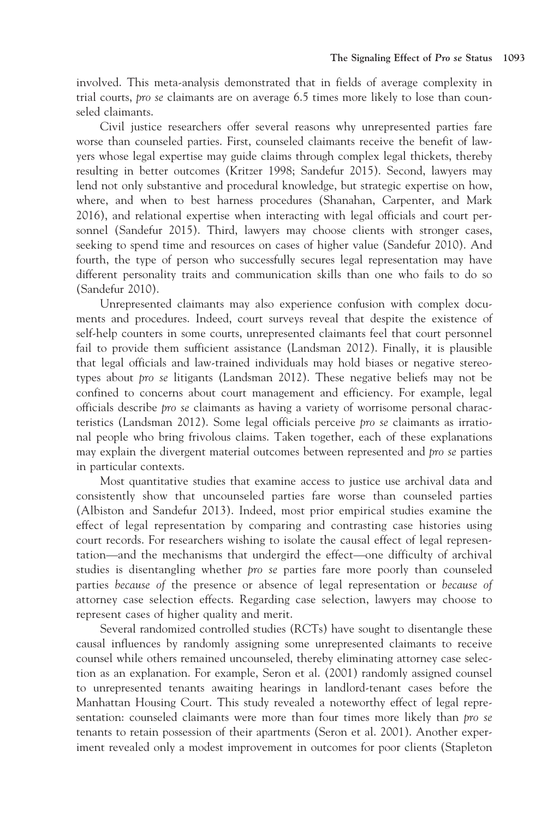involved. This meta-analysis demonstrated that in fields of average complexity in trial courts, pro se claimants are on average 6.5 times more likely to lose than counseled claimants.

Civil justice researchers offer several reasons why unrepresented parties fare worse than counseled parties. First, counseled claimants receive the benefit of lawyers whose legal expertise may guide claims through complex legal thickets, thereby resulting in better outcomes (Kritzer 1998; Sandefur 2015). Second, lawyers may lend not only substantive and procedural knowledge, but strategic expertise on how, where, and when to best harness procedures (Shanahan, Carpenter, and Mark 2016), and relational expertise when interacting with legal officials and court personnel (Sandefur 2015). Third, lawyers may choose clients with stronger cases, seeking to spend time and resources on cases of higher value (Sandefur 2010). And fourth, the type of person who successfully secures legal representation may have different personality traits and communication skills than one who fails to do so (Sandefur 2010).

Unrepresented claimants may also experience confusion with complex documents and procedures. Indeed, court surveys reveal that despite the existence of self-help counters in some courts, unrepresented claimants feel that court personnel fail to provide them sufficient assistance (Landsman 2012). Finally, it is plausible that legal officials and law-trained individuals may hold biases or negative stereotypes about pro se litigants (Landsman 2012). These negative beliefs may not be confined to concerns about court management and efficiency. For example, legal officials describe pro se claimants as having a variety of worrisome personal characteristics (Landsman 2012). Some legal officials perceive pro se claimants as irrational people who bring frivolous claims. Taken together, each of these explanations may explain the divergent material outcomes between represented and pro se parties in particular contexts.

Most quantitative studies that examine access to justice use archival data and consistently show that uncounseled parties fare worse than counseled parties (Albiston and Sandefur 2013). Indeed, most prior empirical studies examine the effect of legal representation by comparing and contrasting case histories using court records. For researchers wishing to isolate the causal effect of legal representation—and the mechanisms that undergird the effect—one difficulty of archival studies is disentangling whether pro se parties fare more poorly than counseled parties because of the presence or absence of legal representation or because of attorney case selection effects. Regarding case selection, lawyers may choose to represent cases of higher quality and merit.

Several randomized controlled studies (RCTs) have sought to disentangle these causal influences by randomly assigning some unrepresented claimants to receive counsel while others remained uncounseled, thereby eliminating attorney case selection as an explanation. For example, Seron et al. (2001) randomly assigned counsel to unrepresented tenants awaiting hearings in landlord-tenant cases before the Manhattan Housing Court. This study revealed a noteworthy effect of legal representation: counseled claimants were more than four times more likely than pro se tenants to retain possession of their apartments (Seron et al. 2001). Another experiment revealed only a modest improvement in outcomes for poor clients (Stapleton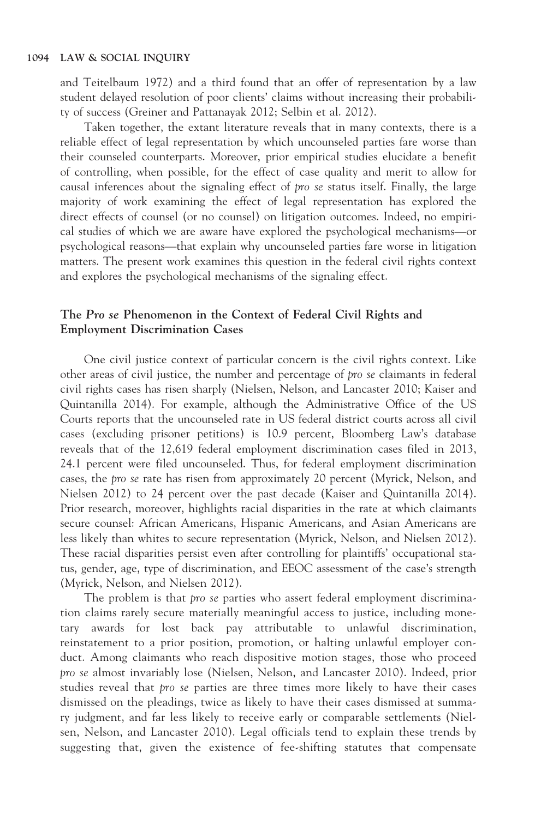and Teitelbaum 1972) and a third found that an offer of representation by a law student delayed resolution of poor clients' claims without increasing their probability of success (Greiner and Pattanayak 2012; Selbin et al. 2012).

Taken together, the extant literature reveals that in many contexts, there is a reliable effect of legal representation by which uncounseled parties fare worse than their counseled counterparts. Moreover, prior empirical studies elucidate a benefit of controlling, when possible, for the effect of case quality and merit to allow for causal inferences about the signaling effect of pro se status itself. Finally, the large majority of work examining the effect of legal representation has explored the direct effects of counsel (or no counsel) on litigation outcomes. Indeed, no empirical studies of which we are aware have explored the psychological mechanisms—or psychological reasons—that explain why uncounseled parties fare worse in litigation matters. The present work examines this question in the federal civil rights context and explores the psychological mechanisms of the signaling effect.

#### The Pro se Phenomenon in the Context of Federal Civil Rights and Employment Discrimination Cases

One civil justice context of particular concern is the civil rights context. Like other areas of civil justice, the number and percentage of pro se claimants in federal civil rights cases has risen sharply (Nielsen, Nelson, and Lancaster 2010; Kaiser and Quintanilla 2014). For example, although the Administrative Office of the US Courts reports that the uncounseled rate in US federal district courts across all civil cases (excluding prisoner petitions) is 10.9 percent, Bloomberg Law's database reveals that of the 12,619 federal employment discrimination cases filed in 2013, 24.1 percent were filed uncounseled. Thus, for federal employment discrimination cases, the pro se rate has risen from approximately 20 percent (Myrick, Nelson, and Nielsen 2012) to 24 percent over the past decade (Kaiser and Quintanilla 2014). Prior research, moreover, highlights racial disparities in the rate at which claimants secure counsel: African Americans, Hispanic Americans, and Asian Americans are less likely than whites to secure representation (Myrick, Nelson, and Nielsen 2012). These racial disparities persist even after controlling for plaintiffs' occupational status, gender, age, type of discrimination, and EEOC assessment of the case's strength (Myrick, Nelson, and Nielsen 2012).

The problem is that pro se parties who assert federal employment discrimination claims rarely secure materially meaningful access to justice, including monetary awards for lost back pay attributable to unlawful discrimination, reinstatement to a prior position, promotion, or halting unlawful employer conduct. Among claimants who reach dispositive motion stages, those who proceed pro se almost invariably lose (Nielsen, Nelson, and Lancaster 2010). Indeed, prior studies reveal that pro se parties are three times more likely to have their cases dismissed on the pleadings, twice as likely to have their cases dismissed at summary judgment, and far less likely to receive early or comparable settlements (Nielsen, Nelson, and Lancaster 2010). Legal officials tend to explain these trends by suggesting that, given the existence of fee-shifting statutes that compensate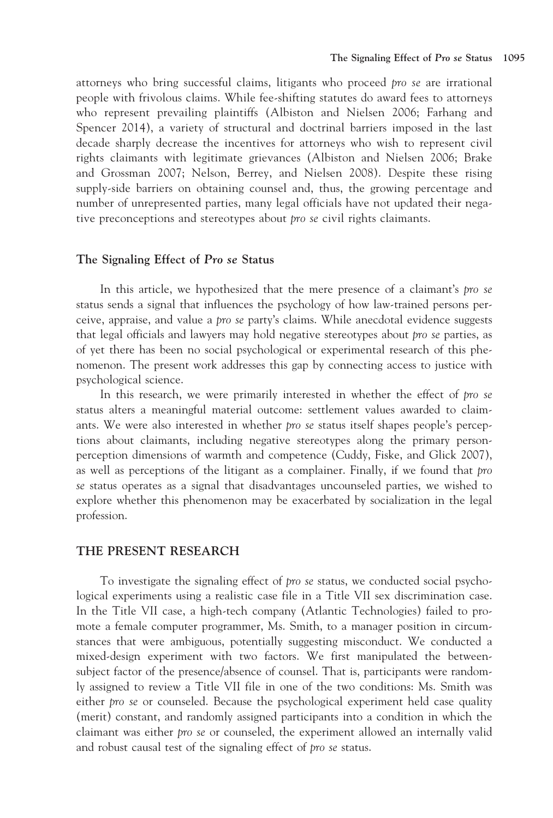attorneys who bring successful claims, litigants who proceed pro se are irrational people with frivolous claims. While fee-shifting statutes do award fees to attorneys who represent prevailing plaintiffs (Albiston and Nielsen 2006; Farhang and Spencer 2014), a variety of structural and doctrinal barriers imposed in the last decade sharply decrease the incentives for attorneys who wish to represent civil rights claimants with legitimate grievances (Albiston and Nielsen 2006; Brake and Grossman 2007; Nelson, Berrey, and Nielsen 2008). Despite these rising supply-side barriers on obtaining counsel and, thus, the growing percentage and number of unrepresented parties, many legal officials have not updated their negative preconceptions and stereotypes about pro se civil rights claimants.

#### The Signaling Effect of Pro se Status

In this article, we hypothesized that the mere presence of a claimant's pro se status sends a signal that influences the psychology of how law-trained persons perceive, appraise, and value a pro se party's claims. While anecdotal evidence suggests that legal officials and lawyers may hold negative stereotypes about pro se parties, as of yet there has been no social psychological or experimental research of this phenomenon. The present work addresses this gap by connecting access to justice with psychological science.

In this research, we were primarily interested in whether the effect of *pro se* status alters a meaningful material outcome: settlement values awarded to claimants. We were also interested in whether pro se status itself shapes people's perceptions about claimants, including negative stereotypes along the primary personperception dimensions of warmth and competence (Cuddy, Fiske, and Glick 2007), as well as perceptions of the litigant as a complainer. Finally, if we found that pro se status operates as a signal that disadvantages uncounseled parties, we wished to explore whether this phenomenon may be exacerbated by socialization in the legal profession.

#### THE PRESENT RESEARCH

To investigate the signaling effect of pro se status, we conducted social psychological experiments using a realistic case file in a Title VII sex discrimination case. In the Title VII case, a high-tech company (Atlantic Technologies) failed to promote a female computer programmer, Ms. Smith, to a manager position in circumstances that were ambiguous, potentially suggesting misconduct. We conducted a mixed-design experiment with two factors. We first manipulated the betweensubject factor of the presence/absence of counsel. That is, participants were randomly assigned to review a Title VII file in one of the two conditions: Ms. Smith was either pro se or counseled. Because the psychological experiment held case quality (merit) constant, and randomly assigned participants into a condition in which the claimant was either pro se or counseled, the experiment allowed an internally valid and robust causal test of the signaling effect of pro se status.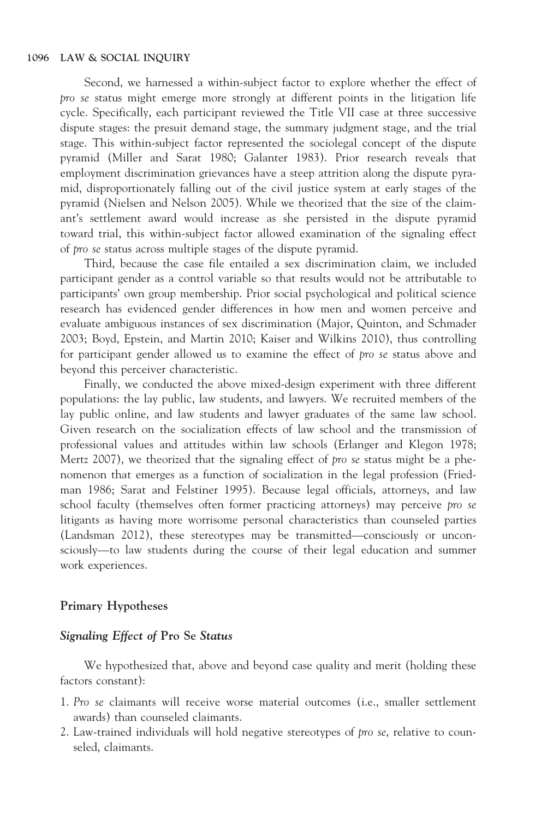Second, we harnessed a within-subject factor to explore whether the effect of pro se status might emerge more strongly at different points in the litigation life cycle. Specifically, each participant reviewed the Title VII case at three successive dispute stages: the presuit demand stage, the summary judgment stage, and the trial stage. This within-subject factor represented the sociolegal concept of the dispute pyramid (Miller and Sarat 1980; Galanter 1983). Prior research reveals that employment discrimination grievances have a steep attrition along the dispute pyramid, disproportionately falling out of the civil justice system at early stages of the pyramid (Nielsen and Nelson 2005). While we theorized that the size of the claimant's settlement award would increase as she persisted in the dispute pyramid toward trial, this within-subject factor allowed examination of the signaling effect of pro se status across multiple stages of the dispute pyramid.

Third, because the case file entailed a sex discrimination claim, we included participant gender as a control variable so that results would not be attributable to participants' own group membership. Prior social psychological and political science research has evidenced gender differences in how men and women perceive and evaluate ambiguous instances of sex discrimination (Major, Quinton, and Schmader 2003; Boyd, Epstein, and Martin 2010; Kaiser and Wilkins 2010), thus controlling for participant gender allowed us to examine the effect of pro se status above and beyond this perceiver characteristic.

Finally, we conducted the above mixed-design experiment with three different populations: the lay public, law students, and lawyers. We recruited members of the lay public online, and law students and lawyer graduates of the same law school. Given research on the socialization effects of law school and the transmission of professional values and attitudes within law schools (Erlanger and Klegon 1978; Mertz 2007), we theorized that the signaling effect of pro se status might be a phenomenon that emerges as a function of socialization in the legal profession (Friedman 1986; Sarat and Felstiner 1995). Because legal officials, attorneys, and law school faculty (themselves often former practicing attorneys) may perceive pro se litigants as having more worrisome personal characteristics than counseled parties (Landsman 2012), these stereotypes may be transmitted—consciously or unconsciously—to law students during the course of their legal education and summer work experiences.

#### Primary Hypotheses

#### Signaling Effect of Pro Se Status

We hypothesized that, above and beyond case quality and merit (holding these factors constant):

- 1. Pro se claimants will receive worse material outcomes (i.e., smaller settlement awards) than counseled claimants.
- 2. Law-trained individuals will hold negative stereotypes of pro se, relative to counseled, claimants.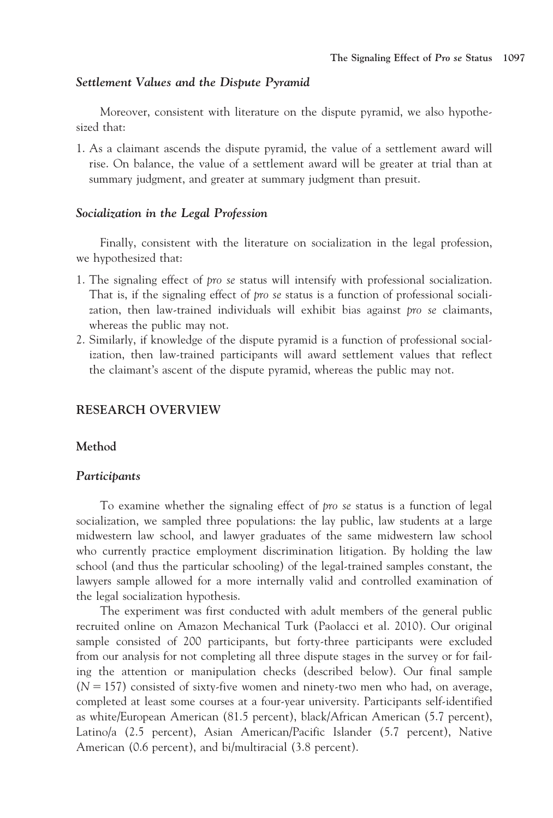#### Settlement Values and the Dispute Pyramid

Moreover, consistent with literature on the dispute pyramid, we also hypothesized that:

1. As a claimant ascends the dispute pyramid, the value of a settlement award will rise. On balance, the value of a settlement award will be greater at trial than at summary judgment, and greater at summary judgment than presuit.

#### Socialization in the Legal Profession

Finally, consistent with the literature on socialization in the legal profession, we hypothesized that:

- 1. The signaling effect of pro se status will intensify with professional socialization. That is, if the signaling effect of pro se status is a function of professional socialization, then law-trained individuals will exhibit bias against pro se claimants, whereas the public may not.
- 2. Similarly, if knowledge of the dispute pyramid is a function of professional socialization, then law-trained participants will award settlement values that reflect the claimant's ascent of the dispute pyramid, whereas the public may not.

#### RESEARCH OVERVIEW

#### Method

#### **Participants**

To examine whether the signaling effect of pro se status is a function of legal socialization, we sampled three populations: the lay public, law students at a large midwestern law school, and lawyer graduates of the same midwestern law school who currently practice employment discrimination litigation. By holding the law school (and thus the particular schooling) of the legal-trained samples constant, the lawyers sample allowed for a more internally valid and controlled examination of the legal socialization hypothesis.

The experiment was first conducted with adult members of the general public recruited online on Amazon Mechanical Turk (Paolacci et al. 2010). Our original sample consisted of 200 participants, but forty-three participants were excluded from our analysis for not completing all three dispute stages in the survey or for failing the attention or manipulation checks (described below). Our final sample  $(N = 157)$  consisted of sixty-five women and ninety-two men who had, on average, completed at least some courses at a four-year university. Participants self-identified as white/European American (81.5 percent), black/African American (5.7 percent), Latino/a (2.5 percent), Asian American/Pacific Islander (5.7 percent), Native American (0.6 percent), and bi/multiracial (3.8 percent).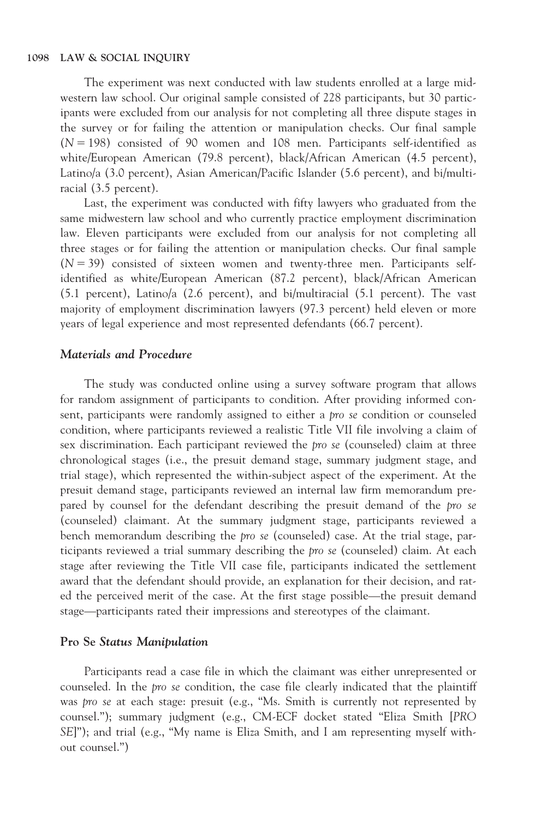The experiment was next conducted with law students enrolled at a large midwestern law school. Our original sample consisted of 228 participants, but 30 participants were excluded from our analysis for not completing all three dispute stages in the survey or for failing the attention or manipulation checks. Our final sample  $(N = 198)$  consisted of 90 women and 108 men. Participants self-identified as white/European American (79.8 percent), black/African American (4.5 percent), Latino/a (3.0 percent), Asian American/Pacific Islander (5.6 percent), and bi/multiracial (3.5 percent).

Last, the experiment was conducted with fifty lawyers who graduated from the same midwestern law school and who currently practice employment discrimination law. Eleven participants were excluded from our analysis for not completing all three stages or for failing the attention or manipulation checks. Our final sample  $(N = 39)$  consisted of sixteen women and twenty-three men. Participants selfidentified as white/European American (87.2 percent), black/African American (5.1 percent), Latino/a (2.6 percent), and bi/multiracial (5.1 percent). The vast majority of employment discrimination lawyers (97.3 percent) held eleven or more years of legal experience and most represented defendants (66.7 percent).

#### Materials and Procedure

The study was conducted online using a survey software program that allows for random assignment of participants to condition. After providing informed consent, participants were randomly assigned to either a pro se condition or counseled condition, where participants reviewed a realistic Title VII file involving a claim of sex discrimination. Each participant reviewed the pro se (counseled) claim at three chronological stages (i.e., the presuit demand stage, summary judgment stage, and trial stage), which represented the within-subject aspect of the experiment. At the presuit demand stage, participants reviewed an internal law firm memorandum prepared by counsel for the defendant describing the presuit demand of the pro se (counseled) claimant. At the summary judgment stage, participants reviewed a bench memorandum describing the pro se (counseled) case. At the trial stage, participants reviewed a trial summary describing the pro se (counseled) claim. At each stage after reviewing the Title VII case file, participants indicated the settlement award that the defendant should provide, an explanation for their decision, and rated the perceived merit of the case. At the first stage possible—the presuit demand stage—participants rated their impressions and stereotypes of the claimant.

#### Pro Se Status Manipulation

Participants read a case file in which the claimant was either unrepresented or counseled. In the pro se condition, the case file clearly indicated that the plaintiff was pro se at each stage: presuit (e.g., "Ms. Smith is currently not represented by counsel."); summary judgment (e.g., CM-ECF docket stated "Eliza Smith [PRO SE]"); and trial (e.g., "My name is Eliza Smith, and I am representing myself without counsel.")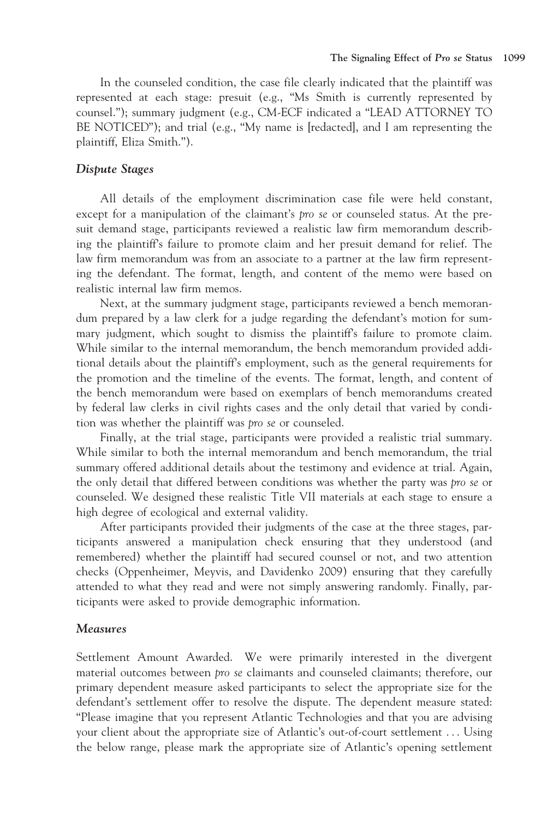In the counseled condition, the case file clearly indicated that the plaintiff was represented at each stage: presuit (e.g., "Ms Smith is currently represented by counsel."); summary judgment (e.g., CM-ECF indicated a "LEAD ATTORNEY TO BE NOTICED"); and trial (e.g., "My name is [redacted], and I am representing the plaintiff, Eliza Smith.").

#### Dispute Stages

All details of the employment discrimination case file were held constant, except for a manipulation of the claimant's pro se or counseled status. At the presuit demand stage, participants reviewed a realistic law firm memorandum describing the plaintiff's failure to promote claim and her presuit demand for relief. The law firm memorandum was from an associate to a partner at the law firm representing the defendant. The format, length, and content of the memo were based on realistic internal law firm memos.

Next, at the summary judgment stage, participants reviewed a bench memorandum prepared by a law clerk for a judge regarding the defendant's motion for summary judgment, which sought to dismiss the plaintiff's failure to promote claim. While similar to the internal memorandum, the bench memorandum provided additional details about the plaintiff's employment, such as the general requirements for the promotion and the timeline of the events. The format, length, and content of the bench memorandum were based on exemplars of bench memorandums created by federal law clerks in civil rights cases and the only detail that varied by condition was whether the plaintiff was pro se or counseled.

Finally, at the trial stage, participants were provided a realistic trial summary. While similar to both the internal memorandum and bench memorandum, the trial summary offered additional details about the testimony and evidence at trial. Again, the only detail that differed between conditions was whether the party was pro se or counseled. We designed these realistic Title VII materials at each stage to ensure a high degree of ecological and external validity.

After participants provided their judgments of the case at the three stages, participants answered a manipulation check ensuring that they understood (and remembered) whether the plaintiff had secured counsel or not, and two attention checks (Oppenheimer, Meyvis, and Davidenko 2009) ensuring that they carefully attended to what they read and were not simply answering randomly. Finally, participants were asked to provide demographic information.

#### **Measures**

Settlement Amount Awarded. We were primarily interested in the divergent material outcomes between pro se claimants and counseled claimants; therefore, our primary dependent measure asked participants to select the appropriate size for the defendant's settlement offer to resolve the dispute. The dependent measure stated: "Please imagine that you represent Atlantic Technologies and that you are advising your client about the appropriate size of Atlantic's out-of-court settlement ... Using the below range, please mark the appropriate size of Atlantic's opening settlement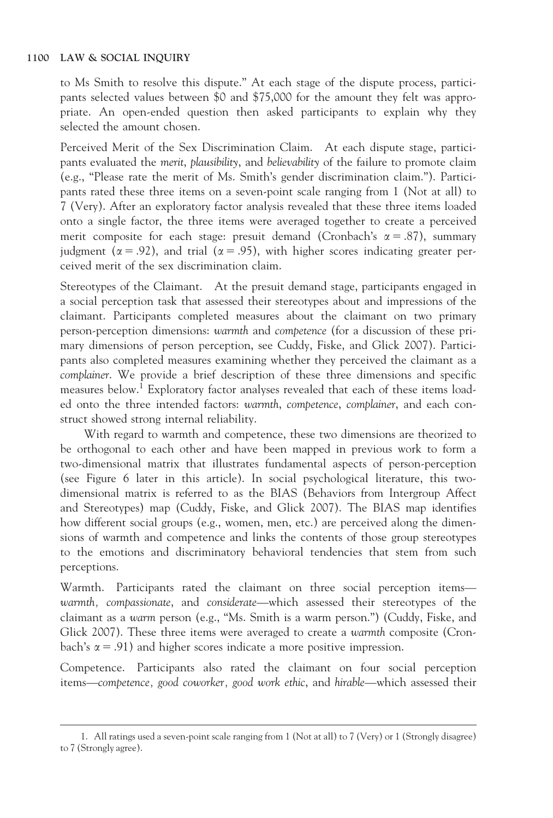to Ms Smith to resolve this dispute." At each stage of the dispute process, participants selected values between \$0 and \$75,000 for the amount they felt was appropriate. An open-ended question then asked participants to explain why they selected the amount chosen.

Perceived Merit of the Sex Discrimination Claim. At each dispute stage, participants evaluated the merit, plausibility, and believability of the failure to promote claim (e.g., "Please rate the merit of Ms. Smith's gender discrimination claim."). Participants rated these three items on a seven-point scale ranging from 1 (Not at all) to 7 (Very). After an exploratory factor analysis revealed that these three items loaded onto a single factor, the three items were averaged together to create a perceived merit composite for each stage: presuit demand (Cronbach's  $\alpha = .87$ ), summary judgment ( $\alpha = .92$ ), and trial ( $\alpha = .95$ ), with higher scores indicating greater perceived merit of the sex discrimination claim.

Stereotypes of the Claimant. At the presuit demand stage, participants engaged in a social perception task that assessed their stereotypes about and impressions of the claimant. Participants completed measures about the claimant on two primary person-perception dimensions: warmth and competence (for a discussion of these primary dimensions of person perception, see Cuddy, Fiske, and Glick 2007). Participants also completed measures examining whether they perceived the claimant as a complainer. We provide a brief description of these three dimensions and specific measures below.<sup>1</sup> Exploratory factor analyses revealed that each of these items loaded onto the three intended factors: warmth, competence, complainer, and each construct showed strong internal reliability.

With regard to warmth and competence, these two dimensions are theorized to be orthogonal to each other and have been mapped in previous work to form a two-dimensional matrix that illustrates fundamental aspects of person-perception (see Figure 6 later in this article). In social psychological literature, this twodimensional matrix is referred to as the BIAS (Behaviors from Intergroup Affect and Stereotypes) map (Cuddy, Fiske, and Glick 2007). The BIAS map identifies how different social groups (e.g., women, men, etc.) are perceived along the dimensions of warmth and competence and links the contents of those group stereotypes to the emotions and discriminatory behavioral tendencies that stem from such perceptions.

Warmth. Participants rated the claimant on three social perception items warmth, compassionate, and considerate—which assessed their stereotypes of the claimant as a warm person (e.g., "Ms. Smith is a warm person.") (Cuddy, Fiske, and Glick 2007). These three items were averaged to create a warmth composite (Cronbach's  $\alpha$  = .91) and higher scores indicate a more positive impression.

Competence. Participants also rated the claimant on four social perception items—competence, good coworker, good work ethic, and hirable—which assessed their

<sup>1.</sup> All ratings used a seven-point scale ranging from 1 (Not at all) to 7 (Very) or 1 (Strongly disagree) to 7 (Strongly agree).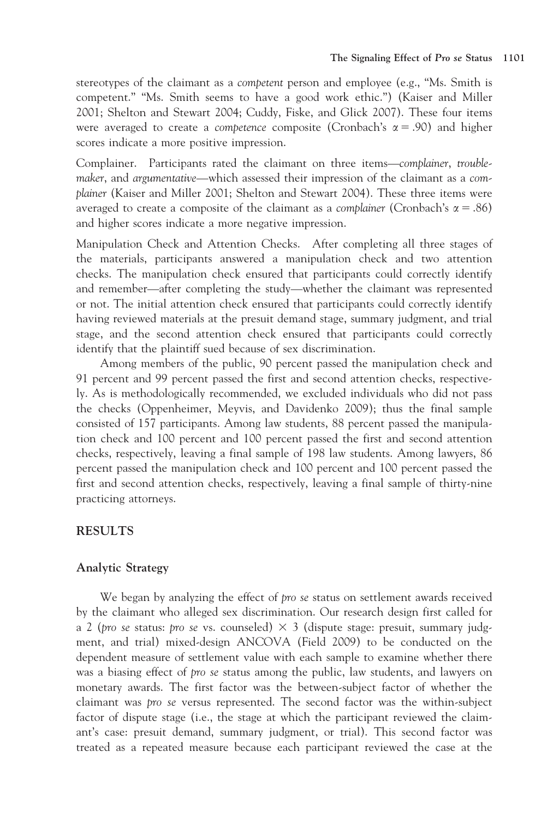stereotypes of the claimant as a competent person and employee (e.g., "Ms. Smith is competent." "Ms. Smith seems to have a good work ethic.") (Kaiser and Miller 2001; Shelton and Stewart 2004; Cuddy, Fiske, and Glick 2007). These four items were averaged to create a *competence* composite (Cronbach's  $\alpha = .90$ ) and higher scores indicate a more positive impression.

Complainer. Participants rated the claimant on three items—complainer, troublemaker, and argumentative—which assessed their impression of the claimant as a complainer (Kaiser and Miller 2001; Shelton and Stewart 2004). These three items were averaged to create a composite of the claimant as a *complainer* (Cronbach's  $\alpha = .86$ ) and higher scores indicate a more negative impression.

Manipulation Check and Attention Checks. After completing all three stages of the materials, participants answered a manipulation check and two attention checks. The manipulation check ensured that participants could correctly identify and remember—after completing the study—whether the claimant was represented or not. The initial attention check ensured that participants could correctly identify having reviewed materials at the presuit demand stage, summary judgment, and trial stage, and the second attention check ensured that participants could correctly identify that the plaintiff sued because of sex discrimination.

Among members of the public, 90 percent passed the manipulation check and 91 percent and 99 percent passed the first and second attention checks, respectively. As is methodologically recommended, we excluded individuals who did not pass the checks (Oppenheimer, Meyvis, and Davidenko 2009); thus the final sample consisted of 157 participants. Among law students, 88 percent passed the manipulation check and 100 percent and 100 percent passed the first and second attention checks, respectively, leaving a final sample of 198 law students. Among lawyers, 86 percent passed the manipulation check and 100 percent and 100 percent passed the first and second attention checks, respectively, leaving a final sample of thirty-nine practicing attorneys.

#### RESULTS

#### Analytic Strategy

We began by analyzing the effect of pro se status on settlement awards received by the claimant who alleged sex discrimination. Our research design first called for a 2 (pro se status: pro se vs. counseled)  $\times$  3 (dispute stage: presuit, summary judgment, and trial) mixed-design ANCOVA (Field 2009) to be conducted on the dependent measure of settlement value with each sample to examine whether there was a biasing effect of pro se status among the public, law students, and lawyers on monetary awards. The first factor was the between-subject factor of whether the claimant was pro se versus represented. The second factor was the within-subject factor of dispute stage (i.e., the stage at which the participant reviewed the claimant's case: presuit demand, summary judgment, or trial). This second factor was treated as a repeated measure because each participant reviewed the case at the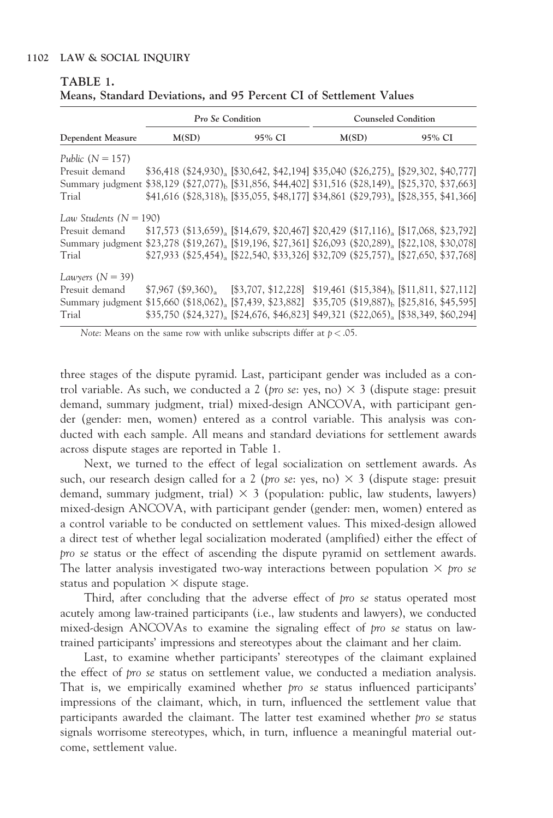|                                                                                                                             |       | Pro Se Condition |        |  | <b>Counseled Condition</b> |                                                                                                              |        |  |  |  |
|-----------------------------------------------------------------------------------------------------------------------------|-------|------------------|--------|--|----------------------------|--------------------------------------------------------------------------------------------------------------|--------|--|--|--|
| Dependent Measure                                                                                                           | M(SD) |                  | 95% CI |  |                            | M(SD)                                                                                                        | 95% CI |  |  |  |
| Public $(N = 157)$                                                                                                          |       |                  |        |  |                            |                                                                                                              |        |  |  |  |
| Presuit demand                                                                                                              |       |                  |        |  |                            | $$36,418$ (\$24,930), [\$30,642, \$42,194] \$35,040 (\$26,275), [\$29,302, \$40,777]                         |        |  |  |  |
| Summary judgment \$38,129 (\$27,077), [\$31,856, \$44,402] \$31,516 (\$28,149) <sub>a</sub> [\$25,370, \$37,663]            |       |                  |        |  |                            |                                                                                                              |        |  |  |  |
| Trial                                                                                                                       |       |                  |        |  |                            | $$41,616$ (\$28,318) <sub>b</sub> [\$35,055, \$48,177] \$34,861 (\$29,793) <sub>a</sub> [\$28,355, \$41,366] |        |  |  |  |
| Law Students ( $N = 190$ )                                                                                                  |       |                  |        |  |                            |                                                                                                              |        |  |  |  |
| Presuit demand                                                                                                              |       |                  |        |  |                            | $$17,573$ (\$13,659), [\$14,679, \$20,467] \$20,429 (\$17,116), [\$17,068, \$23,792]                         |        |  |  |  |
| Summary judgment \$23,278 (\$19,267), [\$19,196, \$27,361] \$26,093 (\$20,289), [\$22,108, \$30,078]                        |       |                  |        |  |                            |                                                                                                              |        |  |  |  |
| Trial                                                                                                                       |       |                  |        |  |                            | $$27,933$ (\$25,454), [\$22,540, \$33,326] \$32,709 (\$25,757), [\$27,650, \$37,768]                         |        |  |  |  |
| Lawyers $(N = 39)$                                                                                                          |       |                  |        |  |                            |                                                                                                              |        |  |  |  |
| Presuit demand                                                                                                              |       |                  |        |  |                            | $$7,967 ($9,360)$ <sub>a</sub> [\$3,707, \$12,228] \$19,461 (\$15,384) <sub>b</sub> [\$11,811, \$27,112]     |        |  |  |  |
| Summary judgment \$15,660 (\$18,062) <sub>a</sub> [\$7,439, \$23,882] \$35,705 (\$19,887) <sub>b</sub> [\$25,816, \$45,595] |       |                  |        |  |                            |                                                                                                              |        |  |  |  |
| Trial                                                                                                                       |       |                  |        |  |                            | $$35,750$ (\$24,327) <sub>a</sub> [\$24,676, \$46,823] \$49,321 (\$22,065) <sub>a</sub> [\$38,349, \$60,294] |        |  |  |  |

| TABLE 1. |  |  |                                                                    |  |
|----------|--|--|--------------------------------------------------------------------|--|
|          |  |  | Means, Standard Deviations, and 95 Percent CI of Settlement Values |  |

Note: Means on the same row with unlike subscripts differ at  $p < .05$ .

three stages of the dispute pyramid. Last, participant gender was included as a control variable. As such, we conducted a 2 (*pro se*: yes, no)  $\times$  3 (dispute stage: presuit demand, summary judgment, trial) mixed-design ANCOVA, with participant gender (gender: men, women) entered as a control variable. This analysis was conducted with each sample. All means and standard deviations for settlement awards across dispute stages are reported in Table 1.

Next, we turned to the effect of legal socialization on settlement awards. As such, our research design called for a 2 (*pro se*: yes, no)  $\times$  3 (dispute stage: presuit demand, summary judgment, trial)  $\times$  3 (population: public, law students, lawyers) mixed-design ANCOVA, with participant gender (gender: men, women) entered as a control variable to be conducted on settlement values. This mixed-design allowed a direct test of whether legal socialization moderated (amplified) either the effect of pro se status or the effect of ascending the dispute pyramid on settlement awards. The latter analysis investigated two-way interactions between population  $\times$  pro se status and population  $\times$  dispute stage.

Third, after concluding that the adverse effect of pro se status operated most acutely among law-trained participants (i.e., law students and lawyers), we conducted mixed-design ANCOVAs to examine the signaling effect of pro se status on lawtrained participants' impressions and stereotypes about the claimant and her claim.

Last, to examine whether participants' stereotypes of the claimant explained the effect of pro se status on settlement value, we conducted a mediation analysis. That is, we empirically examined whether pro se status influenced participants' impressions of the claimant, which, in turn, influenced the settlement value that participants awarded the claimant. The latter test examined whether pro se status signals worrisome stereotypes, which, in turn, influence a meaningful material outcome, settlement value.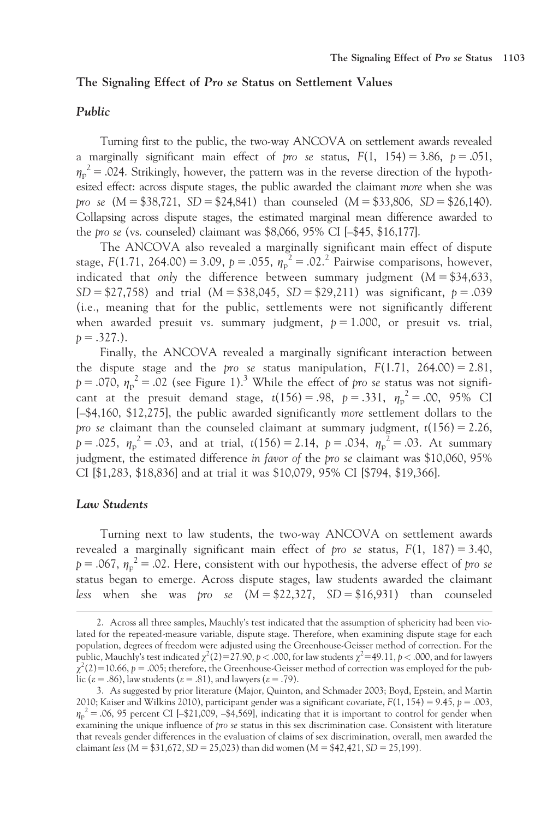#### The Signaling Effect of Pro se Status on Settlement Values

#### Public

Turning first to the public, the two-way ANCOVA on settlement awards revealed a marginally significant main effect of pro se status,  $F(1, 154) = 3.86$ ,  $p = .051$ ,  $\eta_{\rm p}^{\ \,2}$  = .024. Strikingly, however, the pattern was in the reverse direction of the hypothesized effect: across dispute stages, the public awarded the claimant more when she was pro se  $(M = $38,721, SD = $24,841)$  than counseled  $(M = $33,806, SD = $26,140)$ . Collapsing across dispute stages, the estimated marginal mean difference awarded to the pro se (vs. counseled) claimant was \$8,066, 95% CI [–\$45, \$16,177].

The ANCOVA also revealed a marginally significant main effect of dispute stage,  $F(1.71, 264.00) = 3.09$ ,  $p = .055$ ,  $\eta_p^2 = .02$ .<sup>2</sup> Pairwise comparisons, however, indicated that only the difference between summary judgment  $(M = $34,633,$  $SD = $27,758$ ) and trial  $(M = $38,045, SD = $29,211)$  was significant,  $p = .039$ (i.e., meaning that for the public, settlements were not significantly different when awarded presuit vs. summary judgment,  $p = 1.000$ , or presuit vs. trial,  $p = .327.$ ).

Finally, the ANCOVA revealed a marginally significant interaction between the dispute stage and the pro se status manipulation,  $F(1.71, 264.00) = 2.81$ ,  $p = .070$ ,  $\eta_p^2 = .02$  (see Figure 1).<sup>3</sup> While the effect of pro se status was not significant at the presuit demand stage,  $t(156) = .98$ ,  $p = .331$ ,  $\eta_p^2 = .00$ , 95% CI [–\$4,160, \$12,275], the public awarded significantly more settlement dollars to the pro se claimant than the counseled claimant at summary judgment,  $t(156) = 2.26$ ,  $p = .025$ ,  $\eta_p^2 = .03$ , and at trial,  $t(156) = 2.14$ ,  $p = .034$ ,  $\eta_p^2 = .03$ . At summary judgment, the estimated difference in favor of the pro se claimant was \$10,060, 95% CI [\$1,283, \$18,836] and at trial it was \$10,079, 95% CI [\$794, \$19,366].

#### Law Students

Turning next to law students, the two-way ANCOVA on settlement awards revealed a marginally significant main effect of pro se status,  $F(1, 187) = 3.40$ ,  $p = .067$ ,  $\eta_p^2 = .02$ . Here, consistent with our hypothesis, the adverse effect of pro se status began to emerge. Across dispute stages, law students awarded the claimant less when she was *pro* se  $(M = $22,327, SD = $16,931)$  than counseled

<sup>2.</sup> Across all three samples, Mauchly's test indicated that the assumption of sphericity had been violated for the repeated-measure variable, dispute stage. Therefore, when examining dispute stage for each population, degrees of freedom were adjusted using the Greenhouse-Geisser method of correction. For the public, Mauchly's test indicated  $\chi^2(2) = 27.90, p < .000,$  for law students  $\chi^2$ =49.11, p < .000, and for lawyers  $\chi^2(2)$ =10.66, p = .005; therefore, the Greenhouse-Geisser method of correction was employed for the public ( $\varepsilon$  = .86), law students ( $\varepsilon$  = .81), and lawyers ( $\varepsilon$  = .79).

<sup>3.</sup> As suggested by prior literature (Major, Quinton, and Schmader 2003; Boyd, Epstein, and Martin 2010; Kaiser and Wilkins 2010), participant gender was a significant covariate,  $F(1, 154) = 9.45$ ,  $p = .003$ ,  $\eta_p^2 = 0.06$ , 95 percent CI [-\$21,009, -\$4,569], indicating that it is important to control for gender when examining the unique influence of pro se status in this sex discrimination case. Consistent with literature that reveals gender differences in the evaluation of claims of sex discrimination, overall, men awarded the claimant less ( $M = $31,672$ ,  $SD = 25,023$ ) than did women ( $M = $42,421$ ,  $SD = 25,199$ ).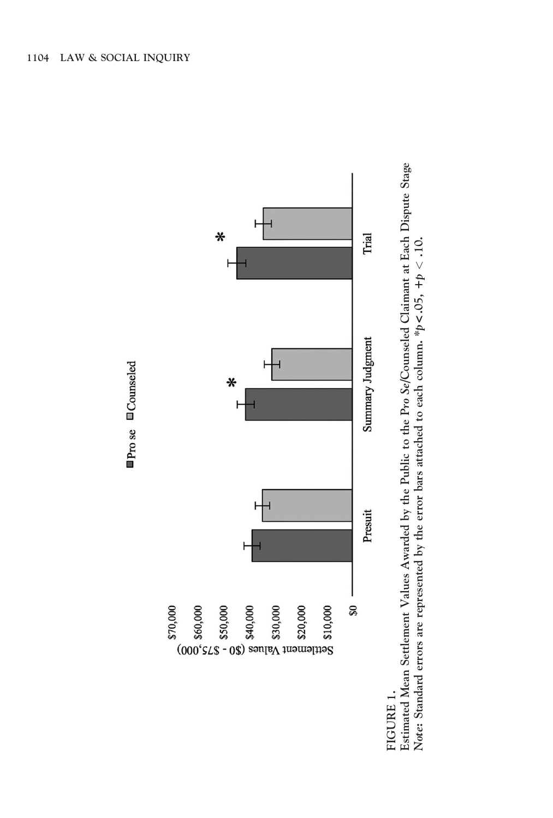

FIGURE 1. FIGURE 1.

Estimated Mean Settlement Values Awarded by the Public to the Pro Se/Counseled Claimant at Each Dispute Stage Estimated Mean Settlement Values Awarded by the Public to the Pro Se/Counseled Claimant at Each Dispute Stage Note: Standard errors are represented by the error bars attached to each column. \*p<.05, +p < .10. Note: Standard errors are represented by the error bars attached to each column. \*p< .05, +p < .10.

 $\rho$ ro se  $\Box$ Counseled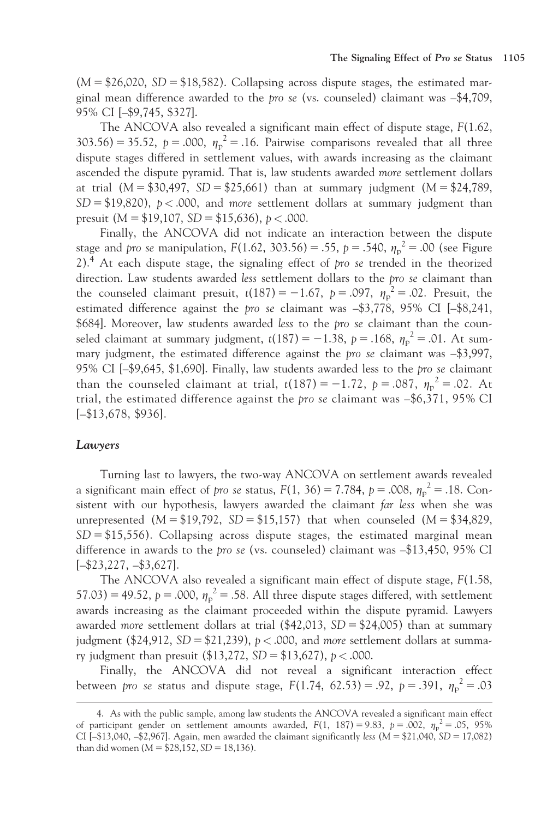$(M = $26,020, SD = $18,582)$ . Collapsing across dispute stages, the estimated marginal mean difference awarded to the *pro se* (vs. counseled) claimant was  $-$ \$4,709, 95% CI [–\$9,745, \$327].

The ANCOVA also revealed a significant main effect of dispute stage, F(1.62, 303.56) = 35.52,  $p = .000$ ,  $\eta_p^2 = .16$ . Pairwise comparisons revealed that all three dispute stages differed in settlement values, with awards increasing as the claimant ascended the dispute pyramid. That is, law students awarded more settlement dollars at trial  $(M = $30,497, SD = $25,661)$  than at summary judgment  $(M = $24,789,$  $SD = $19,820$ ,  $p < .000$ , and more settlement dollars at summary judgment than presuit  $(M = $19,107, SD = $15,636), p < .000$ .

Finally, the ANCOVA did not indicate an interaction between the dispute stage and pro se manipulation,  $F(1.62, 303.56) = .55$ ,  $p = .540$ ,  $\eta_p^2 = .00$  (see Figure  $2$ ).<sup>4</sup> At each dispute stage, the signaling effect of pro se trended in the theorized direction. Law students awarded less settlement dollars to the pro se claimant than the counseled claimant presuit,  $t(187) = -1.67$ ,  $p = .097$ ,  $\eta_p^2 = .02$ . Presuit, the estimated difference against the pro se claimant was –\$3,778, 95% CI [–\$8,241, \$684]. Moreover, law students awarded less to the pro se claimant than the counseled claimant at summary judgment,  $t(187) = -1.38$ ,  $p = .168$ ,  $\eta_p^2 = .01$ . At summary judgment, the estimated difference against the pro se claimant was –\$3,997, 95% CI [–\$9,645, \$1,690]. Finally, law students awarded less to the pro se claimant than the counseled claimant at trial,  $t(187) = -1.72$ ,  $p = .087$ ,  $\eta_p^2 = .02$ . At trial, the estimated difference against the pro se claimant was –\$6,371, 95% CI [–\$13,678, \$936].

#### Lawyers

Turning last to lawyers, the two-way ANCOVA on settlement awards revealed a significant main effect of *pro se* status,  $F(1, 36) = 7.784$ ,  $p = .008$ ,  $\eta_p^2 = .18$ . Consistent with our hypothesis, lawyers awarded the claimant far less when she was unrepresented  $(M = $19,792, SD = $15,157)$  that when counseled  $(M = $34,829,$  $SD = $15,556$ . Collapsing across dispute stages, the estimated marginal mean difference in awards to the pro se (vs. counseled) claimant was –\$13,450, 95% CI [–\$23,227, –\$3,627].

The ANCOVA also revealed a significant main effect of dispute stage, F(1.58, 57.03) = 49.52,  $p = .000$ ,  $\eta_p^2 = .58$ . All three dispute stages differed, with settlement awards increasing as the claimant proceeded within the dispute pyramid. Lawyers awarded *more* settlement dollars at trial  $(\frac{42,013}{5}) = \frac{24,005}{5}$  than at summary judgment (\$24,912, SD = \$21,239),  $p < .000$ , and more settlement dollars at summary judgment than presuit  $(\$13,272, SD = \$13,627)$ ,  $p < .000$ .

Finally, the ANCOVA did not reveal a significant interaction effect between *pro se status and dispute stage, F*(1.74, 62.53) = .92, *p* = .391,  $\eta_p^2$  = .03

<sup>4.</sup> As with the public sample, among law students the ANCOVA revealed a significant main effect of participant gender on settlement amounts awarded,  $F(1, 187) = 9.83$ ,  $p = .002$ ,  $\eta_p^2 = .05$ , 95% CI  $[-13,040, -12,967]$ . Again, men awarded the claimant significantly less (M = \$21,040, SD = 17,082) than did women ( $M = $28,152, SD = 18,136$ ).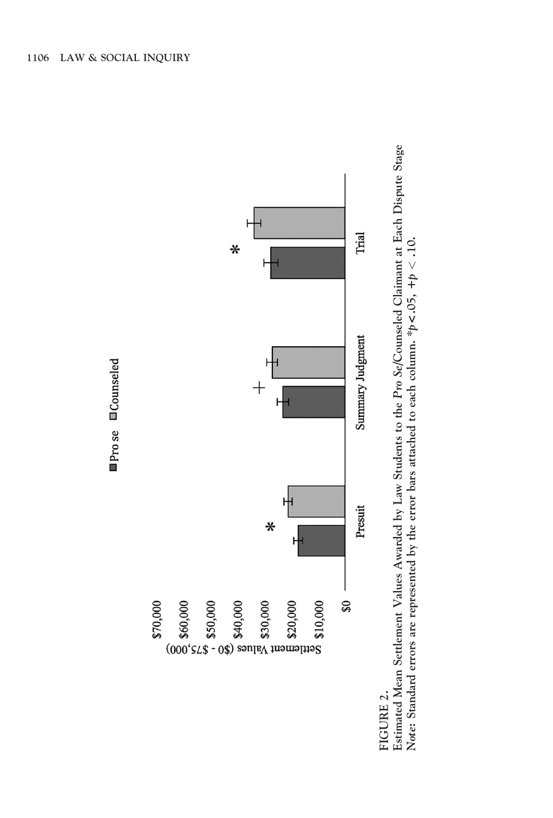

## FIGURE 2. FIGURE 2.

Estimated Mean Settlement Values Awarded by Law Students to the Pro Se/Counseled Claimant at Each Dispute Stage Estimated Mean Settlement Values Awarded by Law Students to the Pro Se/Counseled Claimant at Each Dispute Stage Note: Standard errors are represented by the error bars attached to each column. \*p<.05, +p < .10. Note: Standard errors are represented by the error bars attached to each column. \*p<  $0.05$ , +p  $<$  .10.

# ■Prose **■Counseled**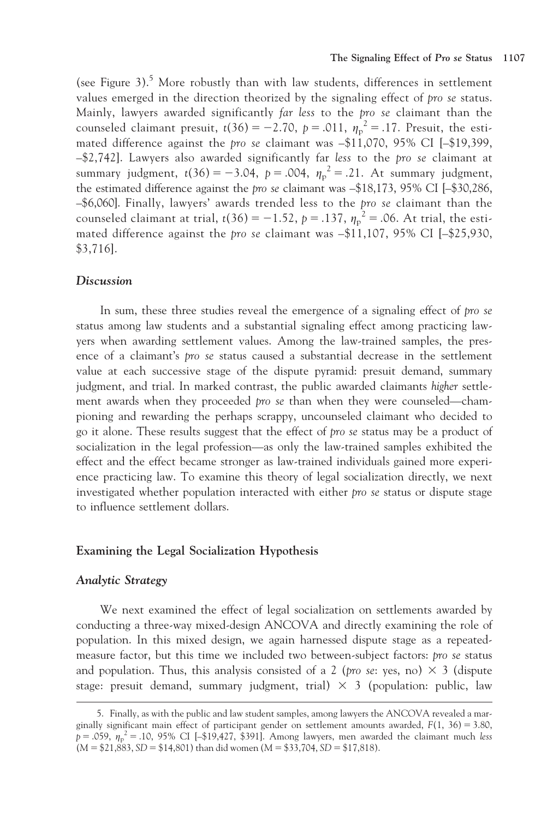(see Figure 3).<sup>5</sup> More robustly than with law students, differences in settlement values emerged in the direction theorized by the signaling effect of pro se status. Mainly, lawyers awarded significantly far less to the pro se claimant than the counseled claimant presuit,  $t(36) = -2.70$ ,  $p = .011$ ,  $\eta_p^2 = .17$ . Presuit, the estimated difference against the pro se claimant was –\$11,070, 95% CI [–\$19,399, –\$2,742]. Lawyers also awarded significantly far less to the pro se claimant at summary judgment,  $t(36) = -3.04$ ,  $p = .004$ ,  $\eta_p^2 = .21$ . At summary judgment, the estimated difference against the pro se claimant was –\$18,173, 95% CI [–\$30,286, –\$6,060]. Finally, lawyers' awards trended less to the pro se claimant than the counseled claimant at trial,  $t(36) = -1.52$ ,  $p = .137$ ,  $\eta_p^2 = .06$ . At trial, the estimated difference against the *pro se* claimant was  $-\$11,107, 95\%$  CI  $[-\$25,930,$ \$3,716].

#### **Discussion**

In sum, these three studies reveal the emergence of a signaling effect of pro se status among law students and a substantial signaling effect among practicing lawyers when awarding settlement values. Among the law-trained samples, the presence of a claimant's pro se status caused a substantial decrease in the settlement value at each successive stage of the dispute pyramid: presuit demand, summary judgment, and trial. In marked contrast, the public awarded claimants higher settlement awards when they proceeded pro se than when they were counseled—championing and rewarding the perhaps scrappy, uncounseled claimant who decided to go it alone. These results suggest that the effect of pro se status may be a product of socialization in the legal profession—as only the law-trained samples exhibited the effect and the effect became stronger as law-trained individuals gained more experience practicing law. To examine this theory of legal socialization directly, we next investigated whether population interacted with either pro se status or dispute stage to influence settlement dollars.

#### Examining the Legal Socialization Hypothesis

#### Analytic Strategy

We next examined the effect of legal socialization on settlements awarded by conducting a three-way mixed-design ANCOVA and directly examining the role of population. In this mixed design, we again harnessed dispute stage as a repeatedmeasure factor, but this time we included two between-subject factors: pro se status and population. Thus, this analysis consisted of a 2 (*pro se*: yes, no)  $\times$  3 (dispute stage: presuit demand, summary judgment, trial)  $\times$  3 (population: public, law

<sup>5.</sup> Finally, as with the public and law student samples, among lawyers the ANCOVA revealed a marginally significant main effect of participant gender on settlement amounts awarded,  $F(1, 36) = 3.80$ ,  $\bar{p}$  = .059,  $\eta_p^2$  = .10, 95% CI [-\$19,427, \$391]. Among lawyers, men awarded the claimant much less  $(M = $21,883, SD = $14,801)$  than did women  $(M = $33,704, SD = $17,818)$ .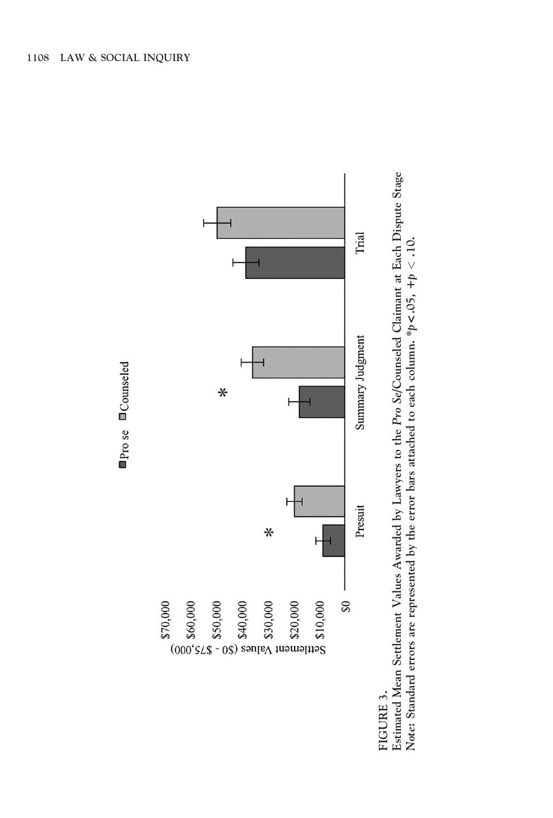

FIGURE 3. FIGURE 3.

Estimated Mean Settlement Values Awarded by Lawyers to the Pro Se/Counseled Claimant at Each Dispute Stage Estimated Mean Settlement Values Awarded by Lawyers to the Pro Se/Counseled Claimant at Each Dispute Stage Note: Standard errors are represented by the error bars attached to each column. \*p<.05, +p < .10. Note: Standard errors are represented by the error bars attached to each column. \*p<  $0.05$ , +p  $<$  .10.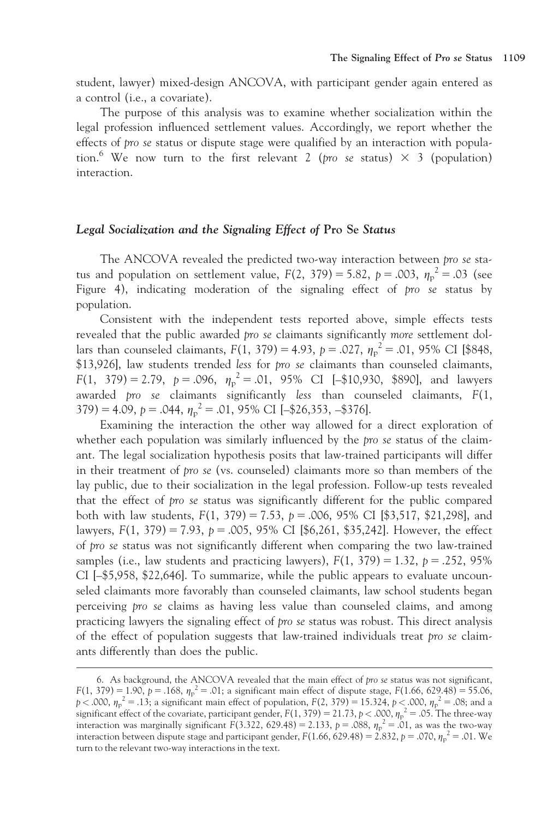student, lawyer) mixed-design ANCOVA, with participant gender again entered as a control (i.e., a covariate).

The purpose of this analysis was to examine whether socialization within the legal profession influenced settlement values. Accordingly, we report whether the effects of pro se status or dispute stage were qualified by an interaction with population.<sup>6</sup> We now turn to the first relevant 2 (pro se status)  $\times$  3 (population) interaction.

#### Legal Socialization and the Signaling Effect of Pro Se Status

The ANCOVA revealed the predicted two-way interaction between pro se status and population on settlement value,  $F(2, 379) = 5.82$ ,  $p = .003$ ,  $\eta_p^2 = .03$  (see Figure 4), indicating moderation of the signaling effect of pro se status by population.

Consistent with the independent tests reported above, simple effects tests revealed that the public awarded pro se claimants significantly more settlement dollars than counseled claimants,  $F(1, 379) = 4.93$ ,  $p = .027$ ,  $\eta_{p}^{2} = .01$ , 95% CI [\$848, \$13,926], law students trended less for pro se claimants than counseled claimants,  $F(1, 379) = 2.79, p = .096, \eta_p^2 = .01, 95\% \text{ CI} [-$10,930, $890], \text{ and lawyers}$ awarded pro se claimants significantly less than counseled claimants, F(1,  $379$ ) = 4.09, p = .044,  $\eta_p^2$  = .01, 95% CI [-\$26,353, -\$376].

Examining the interaction the other way allowed for a direct exploration of whether each population was similarly influenced by the *pro se* status of the claimant. The legal socialization hypothesis posits that law-trained participants will differ in their treatment of pro se (vs. counseled) claimants more so than members of the lay public, due to their socialization in the legal profession. Follow-up tests revealed that the effect of pro se status was significantly different for the public compared both with law students,  $F(1, 379) = 7.53$ ,  $p = .006$ , 95% CI [\$3,517, \$21,298], and lawyers,  $F(1, 379) = 7.93$ ,  $p = .005$ , 95% CI [\$6,261, \$35,242]. However, the effect of pro se status was not significantly different when comparing the two law-trained samples (i.e., law students and practicing lawyers),  $F(1, 379) = 1.32$ ,  $p = .252$ , 95% CI [–\$5,958, \$22,646]. To summarize, while the public appears to evaluate uncounseled claimants more favorably than counseled claimants, law school students began perceiving pro se claims as having less value than counseled claims, and among practicing lawyers the signaling effect of pro se status was robust. This direct analysis of the effect of population suggests that law-trained individuals treat pro se claimants differently than does the public.

<sup>6.</sup> As background, the ANCOVA revealed that the main effect of pro se status was not significant,  $F(1, 379) = 1.90$ ,  $p = .168$ ,  $\eta_p^2 = .01$ ; a significant main effect of dispute stage,  $F(1.66, 629.48) = 55.06$ ,  $p < .000$ ,  $\eta_p^2 = .13$ ; a significant main effect of population,  $F(2, 379) = 15.324$ ,  $p < .000$ ,  $\eta_p^2 = .08$ ; and a significant effect of the covariate, participant gender,  $F(1, 379) = 21.73$ ,  $p < .000$ ,  $\eta_p^2 = .05$ . The three-way interaction was marginally significant  $F(3.322, 629.48) = 2.133$ ,  $p = .088$ ,  $\eta_p^2 = .01$ , as was the two-way interaction between dispute stage and participant gender,  $F(1.66, 629.48) = 2.832$ ,  $p = .070$ ,  $\eta_p^2 = .01$ . We turn to the relevant two-way interactions in the text.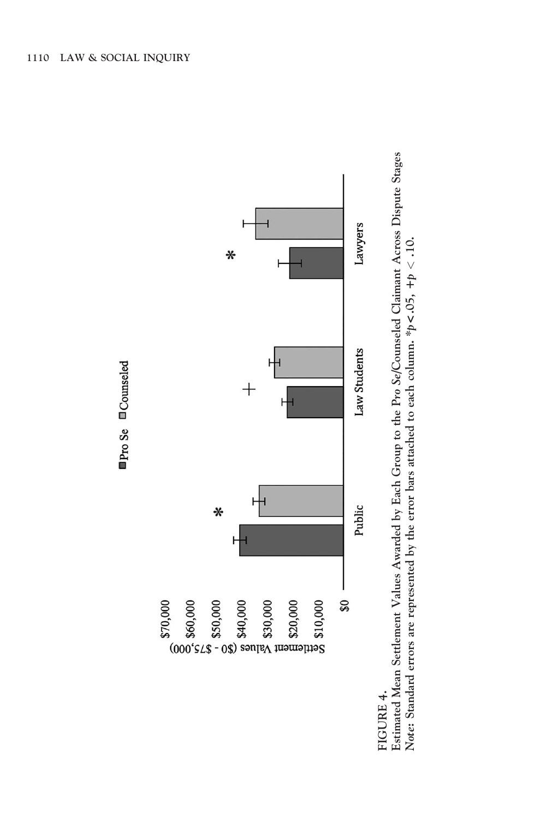



Estimated Mean Settlement Values Awarded by Each Group to the Pro Se/Counseled Claimant Across Dispute Stages Estimated Mean Settlement Values Awarded by Each Group to the Pro Se/Counseled Claimant Across Dispute Stages Note: Standard errors are represented by the error bars attached to each column. \*p<.05, +p < .10. Note: Standard errors are represented by the error bars attached to each column. \*p< .05, +p < .10.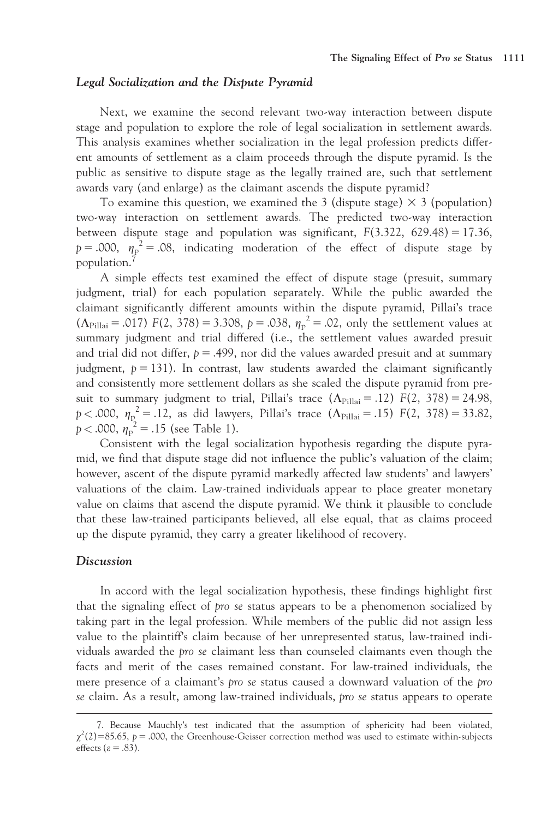#### Legal Socialization and the Dispute Pyramid

Next, we examine the second relevant two-way interaction between dispute stage and population to explore the role of legal socialization in settlement awards. This analysis examines whether socialization in the legal profession predicts different amounts of settlement as a claim proceeds through the dispute pyramid. Is the public as sensitive to dispute stage as the legally trained are, such that settlement awards vary (and enlarge) as the claimant ascends the dispute pyramid?

To examine this question, we examined the 3 (dispute stage)  $\times$  3 (population) two-way interaction on settlement awards. The predicted two-way interaction between dispute stage and population was significant,  $F(3.322, 629.48) = 17.36$ ,  $p = .000$ ,  $\eta_p^2 = .08$ , indicating moderation of the effect of dispute stage by population.7

A simple effects test examined the effect of dispute stage (presuit, summary judgment, trial) for each population separately. While the public awarded the claimant significantly different amounts within the dispute pyramid, Pillai's trace  $(\Lambda_{\text{Pillai}} = .017)$  F(2, 378) = 3.308, p = .038,  $\eta_{\text{p}}^2 = .02$ , only the settlement values at summary judgment and trial differed (i.e., the settlement values awarded presuit and trial did not differ,  $p = .499$ , nor did the values awarded presuit and at summary judgment,  $p = 131$ ). In contrast, law students awarded the claimant significantly and consistently more settlement dollars as she scaled the dispute pyramid from presuit to summary judgment to trial, Pillai's trace  $(\Lambda_{\text{Pillai}} = .12)$  F(2, 378) = 24.98, p < .000,  $\eta_p^2 = 0.12$ , as did lawyers, Pillai's trace  $(\Lambda_{\text{Pillai}} = 0.15)$  F(2, 378) = 33.82,  $p < .000$ ,  $\eta_{\rm p}^2 = .15$  (see Table 1).

Consistent with the legal socialization hypothesis regarding the dispute pyramid, we find that dispute stage did not influence the public's valuation of the claim; however, ascent of the dispute pyramid markedly affected law students' and lawyers' valuations of the claim. Law-trained individuals appear to place greater monetary value on claims that ascend the dispute pyramid. We think it plausible to conclude that these law-trained participants believed, all else equal, that as claims proceed up the dispute pyramid, they carry a greater likelihood of recovery.

#### Discussion

In accord with the legal socialization hypothesis, these findings highlight first that the signaling effect of pro se status appears to be a phenomenon socialized by taking part in the legal profession. While members of the public did not assign less value to the plaintiff's claim because of her unrepresented status, law-trained individuals awarded the pro se claimant less than counseled claimants even though the facts and merit of the cases remained constant. For law-trained individuals, the mere presence of a claimant's pro se status caused a downward valuation of the pro se claim. As a result, among law-trained individuals, pro se status appears to operate

<sup>7.</sup> Because Mauchly's test indicated that the assumption of sphericity had been violated,  $\chi^2(2)$ =85.65, p = .000, the Greenhouse-Geisser correction method was used to estimate within-subjects effects ( $\varepsilon$  = .83).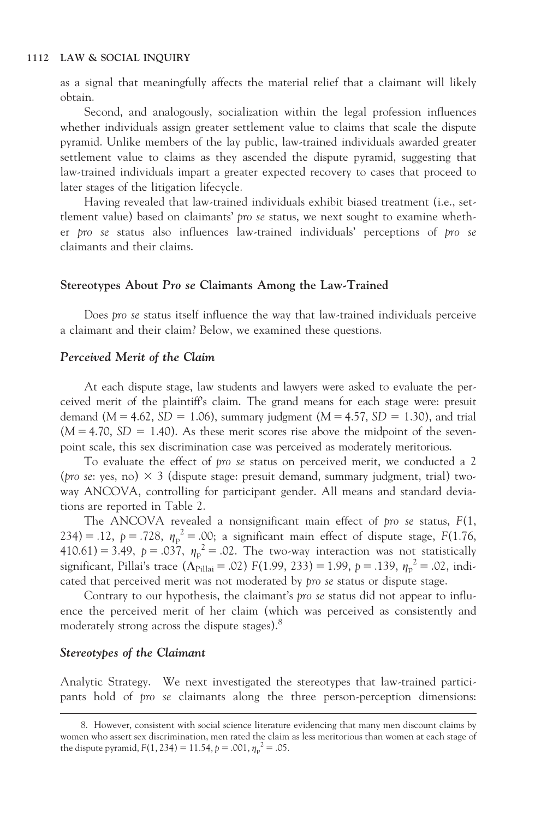as a signal that meaningfully affects the material relief that a claimant will likely obtain.

Second, and analogously, socialization within the legal profession influences whether individuals assign greater settlement value to claims that scale the dispute pyramid. Unlike members of the lay public, law-trained individuals awarded greater settlement value to claims as they ascended the dispute pyramid, suggesting that law-trained individuals impart a greater expected recovery to cases that proceed to later stages of the litigation lifecycle.

Having revealed that law-trained individuals exhibit biased treatment (i.e., settlement value) based on claimants' pro se status, we next sought to examine whether pro se status also influences law-trained individuals' perceptions of pro se claimants and their claims.

#### Stereotypes About Pro se Claimants Among the Law-Trained

Does pro se status itself influence the way that law-trained individuals perceive a claimant and their claim? Below, we examined these questions.

#### Perceived Merit of the Claim

At each dispute stage, law students and lawyers were asked to evaluate the perceived merit of the plaintiff's claim. The grand means for each stage were: presuit demand ( $M = 4.62$ ,  $SD = 1.06$ ), summary judgment ( $M = 4.57$ ,  $SD = 1.30$ ), and trial  $(M = 4.70, SD = 1.40)$ . As these merit scores rise above the midpoint of the sevenpoint scale, this sex discrimination case was perceived as moderately meritorious.

To evaluate the effect of pro se status on perceived merit, we conducted a 2 (*pro se*: yes, no)  $\times$  3 (dispute stage: presuit demand, summary judgment, trial) twoway ANCOVA, controlling for participant gender. All means and standard deviations are reported in Table 2.

The ANCOVA revealed a nonsignificant main effect of pro se status, F(1, 234) = .12, p = .728,  $\eta_p^2$  = .00; a significant main effect of dispute stage, F(1.76, 410.61) = 3.49,  $p = .037$ ,  $\eta_p^2 = .02$ . The two-way interaction was not statistically significant, Pillai's trace ( $\Lambda_{\text{Pillai}}$  = .02) F(1.99, 233) = 1.99, p = .139,  $\eta_{\text{p}}^2$  = .02, indicated that perceived merit was not moderated by pro se status or dispute stage.

Contrary to our hypothesis, the claimant's pro se status did not appear to influence the perceived merit of her claim (which was perceived as consistently and moderately strong across the dispute stages).<sup>8</sup>

#### Stereotypes of the Claimant

Analytic Strategy. We next investigated the stereotypes that law-trained participants hold of pro se claimants along the three person-perception dimensions:

<sup>8.</sup> However, consistent with social science literature evidencing that many men discount claims by women who assert sex discrimination, men rated the claim as less meritorious than women at each stage of the dispute pyramid,  $F(1, 234) = 11.54$ ,  $p = .001$ ,  $\eta_p^2 = .05$ .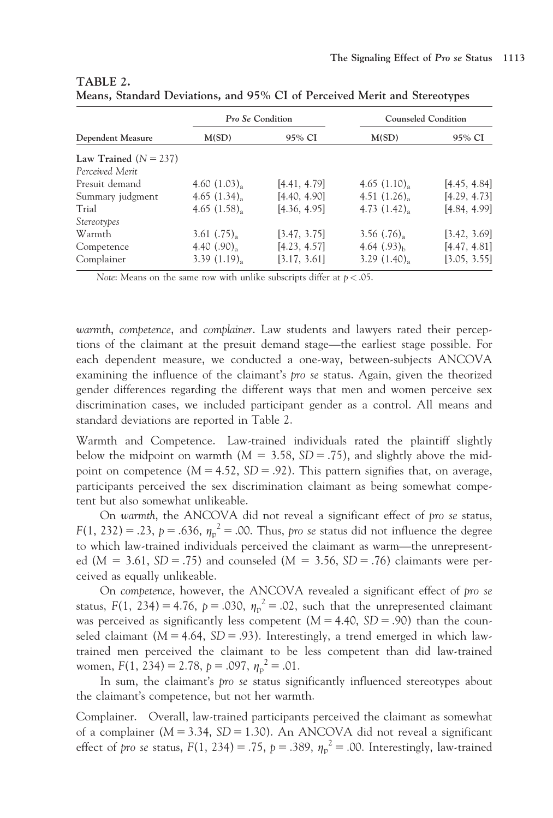|                         | Pro Se Condition          |              | <b>Counseled Condition</b> |              |  |  |
|-------------------------|---------------------------|--------------|----------------------------|--------------|--|--|
| Dependent Measure       | M(SD)                     | 95% CI       | M(SD)                      | 95% CI       |  |  |
| Law Trained $(N = 237)$ |                           |              |                            |              |  |  |
| Perceived Merit         |                           |              |                            |              |  |  |
| Presuit demand          | 4.60 $(1.03)_{\text{a}}$  | [4.41, 4.79] | 4.65 $(1.10)$              | [4.45, 4.84] |  |  |
| Summary judgment        | 4.65 $(1.34)_{\rm a}$     | [4.40, 4.90] | 4.51 $(1.26)_{\rm a}$      | [4.29, 4.73] |  |  |
| Trial                   | 4.65(1.58)                | [4.36, 4.95] | 4.73(1.42)                 | [4.84, 4.99] |  |  |
| <i>Stereotypes</i>      |                           |              |                            |              |  |  |
| Warmth                  | 3.61 $(.75)_{\text{a}}$   | [3.47, 3.75] | 3.56 $(.76)_{\text{a}}$    | [3.42, 3.69] |  |  |
| Competence              | 4.40 $(.90)$ <sub>2</sub> | [4.23, 4.57] | 4.64 $(.93)_{h}$           | [4.47, 4.81] |  |  |
| Complainer              | $3.39(1.19)$ <sub>2</sub> | [3.17, 3.61] | 3.29(1.40)                 | [3.05, 3.55] |  |  |

| TABLE 2. |                                                                           |  |  |  |  |
|----------|---------------------------------------------------------------------------|--|--|--|--|
|          | Means, Standard Deviations, and 95% CI of Perceived Merit and Stereotypes |  |  |  |  |

Note: Means on the same row with unlike subscripts differ at  $p < .05$ .

warmth, competence, and complainer. Law students and lawyers rated their perceptions of the claimant at the presuit demand stage—the earliest stage possible. For each dependent measure, we conducted a one-way, between-subjects ANCOVA examining the influence of the claimant's pro se status. Again, given the theorized gender differences regarding the different ways that men and women perceive sex discrimination cases, we included participant gender as a control. All means and standard deviations are reported in Table 2.

Warmth and Competence. Law-trained individuals rated the plaintiff slightly below the midpoint on warmth ( $M = 3.58$ ,  $SD = .75$ ), and slightly above the midpoint on competence  $(M = 4.52, SD = .92)$ . This pattern signifies that, on average, participants perceived the sex discrimination claimant as being somewhat competent but also somewhat unlikeable.

On warmth, the ANCOVA did not reveal a significant effect of pro se status,  $F(1, 232) = .23$ ,  $p = .636$ ,  $\eta_p^2 = .00$ . Thus, pro se status did not influence the degree to which law-trained individuals perceived the claimant as warm—the unrepresented  $(M = 3.61, SD = .75)$  and counseled  $(M = 3.56, SD = .76)$  claimants were perceived as equally unlikeable.

On competence, however, the ANCOVA revealed a significant effect of pro se status,  $F(1, 234) = 4.76$ ,  $p = .030$ ,  $\eta_p^2 = .02$ , such that the unrepresented claimant was perceived as significantly less competent  $(M = 4.40, SD = .90)$  than the counseled claimant ( $M = 4.64$ ,  $SD = .93$ ). Interestingly, a trend emerged in which lawtrained men perceived the claimant to be less competent than did law-trained women,  $F(1, 234) = 2.78$ ,  $p = .097$ ,  $\eta_p^2 = .01$ .

In sum, the claimant's pro se status significantly influenced stereotypes about the claimant's competence, but not her warmth.

Complainer. Overall, law-trained participants perceived the claimant as somewhat of a complainer ( $M = 3.34$ ,  $SD = 1.30$ ). An ANCOVA did not reveal a significant effect of pro se status,  $F(1, 234) = .75$ ,  $p = .389$ ,  $\eta_p^2 = .00$ . Interestingly, law-trained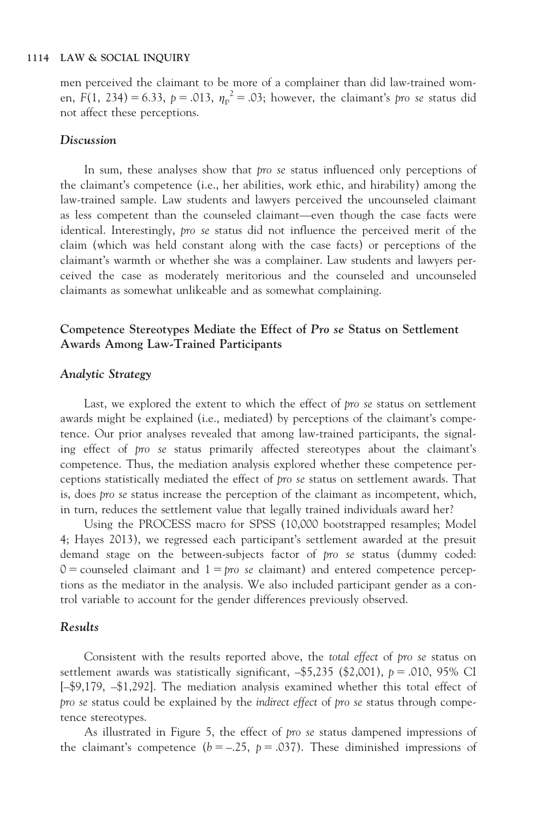men perceived the claimant to be more of a complainer than did law-trained women, F(1, 234) = 6.33, p = .013,  $\eta_p^2 = 0.03$ ; however, the claimant's pro se status did not affect these perceptions.

#### **Discussion**

In sum, these analyses show that pro se status influenced only perceptions of the claimant's competence (i.e., her abilities, work ethic, and hirability) among the law-trained sample. Law students and lawyers perceived the uncounseled claimant as less competent than the counseled claimant—even though the case facts were identical. Interestingly, pro se status did not influence the perceived merit of the claim (which was held constant along with the case facts) or perceptions of the claimant's warmth or whether she was a complainer. Law students and lawyers perceived the case as moderately meritorious and the counseled and uncounseled claimants as somewhat unlikeable and as somewhat complaining.

#### Competence Stereotypes Mediate the Effect of Pro se Status on Settlement Awards Among Law-Trained Participants

#### Analytic Strategy

Last, we explored the extent to which the effect of pro se status on settlement awards might be explained (i.e., mediated) by perceptions of the claimant's competence. Our prior analyses revealed that among law-trained participants, the signaling effect of pro se status primarily affected stereotypes about the claimant's competence. Thus, the mediation analysis explored whether these competence perceptions statistically mediated the effect of pro se status on settlement awards. That is, does pro se status increase the perception of the claimant as incompetent, which, in turn, reduces the settlement value that legally trained individuals award her?

Using the PROCESS macro for SPSS (10,000 bootstrapped resamples; Model 4; Hayes 2013), we regressed each participant's settlement awarded at the presuit demand stage on the between-subjects factor of pro se status (dummy coded:  $0 =$  counseled claimant and  $1 = pro$  se claimant) and entered competence perceptions as the mediator in the analysis. We also included participant gender as a control variable to account for the gender differences previously observed.

#### Results

Consistent with the results reported above, the total effect of pro se status on settlement awards was statistically significant,  $-$ \$5,235 (\$2,001),  $p = .010, 95\%$  CI [–\$9,179, –\$1,292]. The mediation analysis examined whether this total effect of pro se status could be explained by the indirect effect of pro se status through competence stereotypes.

As illustrated in Figure 5, the effect of pro se status dampened impressions of the claimant's competence ( $b = -.25$ ,  $p = .037$ ). These diminished impressions of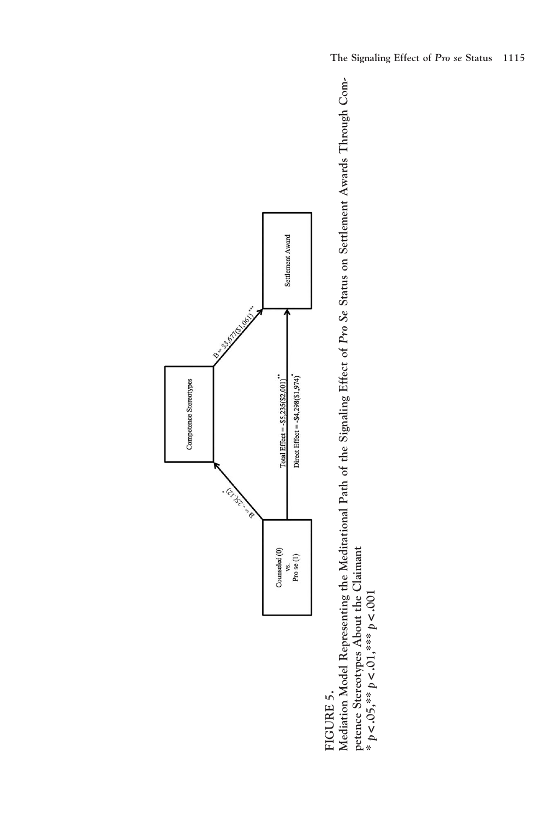

FIGURE 5.

FIGURE 5.<br>Mediation Model Representing the Meditational Path of the Signaling Effect of Pro Se Status on Settlement Awards Through Com-<br>petence Stereotynes Ahout the Claimant Mediation Model Representing the Meditational Path of the Signaling Effect of Pro Se Status on Settlement Awards Through Competence Stereotypes About the Claimant < .001  $\leq .01,$ \*\*\*  $p$ v  $<$  .05, $^*$  p  $\bm{f}^*$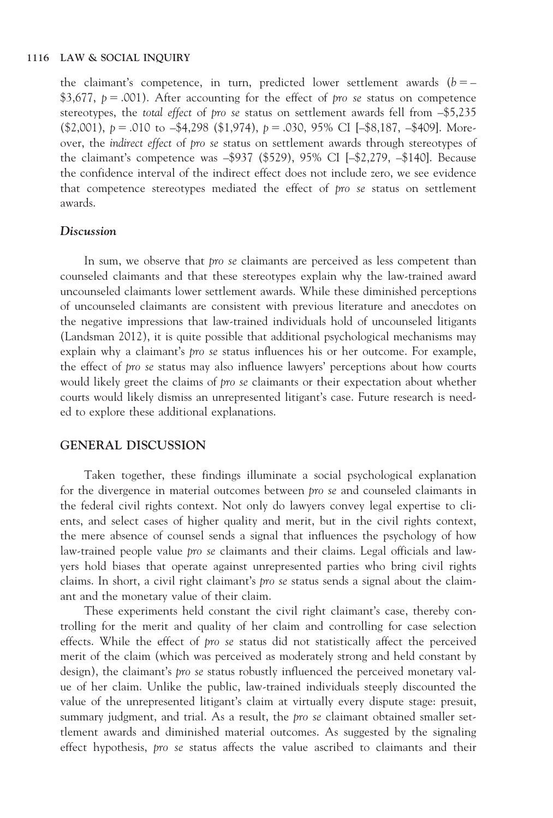the claimant's competence, in turn, predicted lower settlement awards  $(b = -$ \$3,677,  $p = .001$ ). After accounting for the effect of pro se status on competence stereotypes, the total effect of pro se status on settlement awards fell from –\$5,235  $(\text{$}2,001), p = .010 \text{ to } -\text{$}4,298 \text{ ($}1,974), p = .030, 95\% \text{ CI } [-\text{$}8,187, -\text{$}409]. \text{ More-}$ over, the indirect effect of pro se status on settlement awards through stereotypes of the claimant's competence was –\$937 (\$529), 95% CI [–\$2,279, –\$140]. Because the confidence interval of the indirect effect does not include zero, we see evidence that competence stereotypes mediated the effect of pro se status on settlement awards.

#### Discussion

In sum, we observe that *pro se* claimants are perceived as less competent than counseled claimants and that these stereotypes explain why the law-trained award uncounseled claimants lower settlement awards. While these diminished perceptions of uncounseled claimants are consistent with previous literature and anecdotes on the negative impressions that law-trained individuals hold of uncounseled litigants (Landsman 2012), it is quite possible that additional psychological mechanisms may explain why a claimant's *pro se* status influences his or her outcome. For example, the effect of pro se status may also influence lawyers' perceptions about how courts would likely greet the claims of pro se claimants or their expectation about whether courts would likely dismiss an unrepresented litigant's case. Future research is needed to explore these additional explanations.

#### GENERAL DISCUSSION

Taken together, these findings illuminate a social psychological explanation for the divergence in material outcomes between pro se and counseled claimants in the federal civil rights context. Not only do lawyers convey legal expertise to clients, and select cases of higher quality and merit, but in the civil rights context, the mere absence of counsel sends a signal that influences the psychology of how law-trained people value pro se claimants and their claims. Legal officials and lawyers hold biases that operate against unrepresented parties who bring civil rights claims. In short, a civil right claimant's pro se status sends a signal about the claimant and the monetary value of their claim.

These experiments held constant the civil right claimant's case, thereby controlling for the merit and quality of her claim and controlling for case selection effects. While the effect of pro se status did not statistically affect the perceived merit of the claim (which was perceived as moderately strong and held constant by design), the claimant's pro se status robustly influenced the perceived monetary value of her claim. Unlike the public, law-trained individuals steeply discounted the value of the unrepresented litigant's claim at virtually every dispute stage: presuit, summary judgment, and trial. As a result, the pro se claimant obtained smaller settlement awards and diminished material outcomes. As suggested by the signaling effect hypothesis, pro se status affects the value ascribed to claimants and their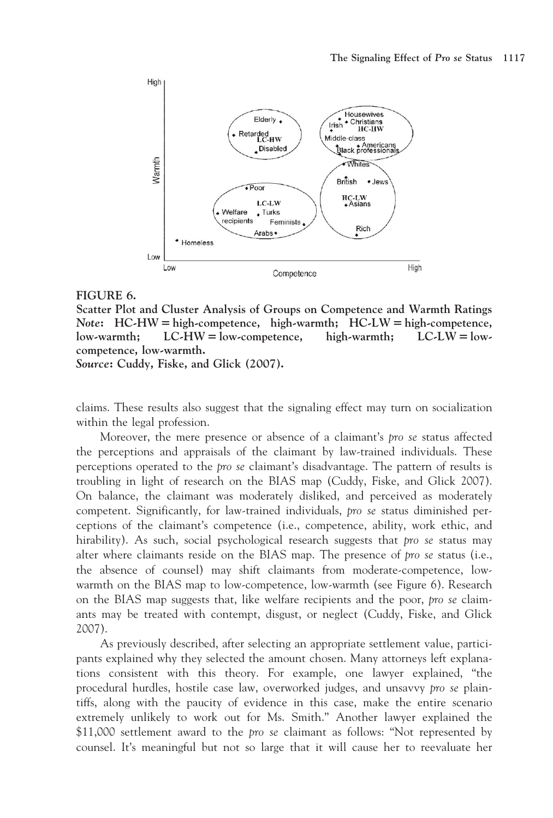

#### FIGURE 6.

Scatter Plot and Cluster Analysis of Groups on Competence and Warmth Ratings Note:  $HC-HW = high-complete, high-warmth$ ;  $HC-LW = high-complete,$  $low-warmth;$   $LC-HW = low-compactence,$  high-warmth;  $LC-LW = low$ competence, low-warmth.

Source: Cuddy, Fiske, and Glick (2007).

claims. These results also suggest that the signaling effect may turn on socialization within the legal profession.

Moreover, the mere presence or absence of a claimant's pro se status affected the perceptions and appraisals of the claimant by law-trained individuals. These perceptions operated to the pro se claimant's disadvantage. The pattern of results is troubling in light of research on the BIAS map (Cuddy, Fiske, and Glick 2007). On balance, the claimant was moderately disliked, and perceived as moderately competent. Significantly, for law-trained individuals, pro se status diminished perceptions of the claimant's competence (i.e., competence, ability, work ethic, and hirability). As such, social psychological research suggests that *pro se* status may alter where claimants reside on the BIAS map. The presence of pro se status (i.e., the absence of counsel) may shift claimants from moderate-competence, lowwarmth on the BIAS map to low-competence, low-warmth (see Figure 6). Research on the BIAS map suggests that, like welfare recipients and the poor, pro se claimants may be treated with contempt, disgust, or neglect (Cuddy, Fiske, and Glick 2007).

As previously described, after selecting an appropriate settlement value, participants explained why they selected the amount chosen. Many attorneys left explanations consistent with this theory. For example, one lawyer explained, "the procedural hurdles, hostile case law, overworked judges, and unsavvy pro se plaintiffs, along with the paucity of evidence in this case, make the entire scenario extremely unlikely to work out for Ms. Smith." Another lawyer explained the \$11,000 settlement award to the *pro se* claimant as follows: "Not represented by counsel. It's meaningful but not so large that it will cause her to reevaluate her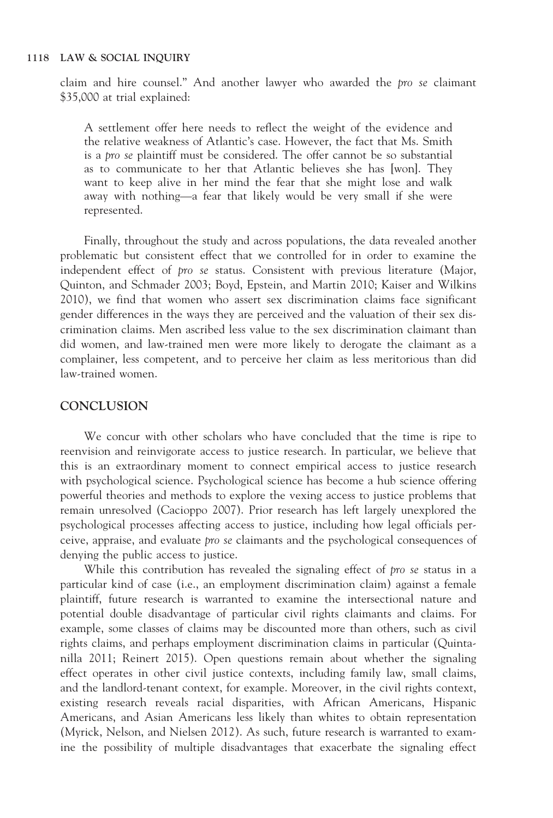claim and hire counsel." And another lawyer who awarded the pro se claimant \$35,000 at trial explained:

A settlement offer here needs to reflect the weight of the evidence and the relative weakness of Atlantic's case. However, the fact that Ms. Smith is a pro se plaintiff must be considered. The offer cannot be so substantial as to communicate to her that Atlantic believes she has [won]. They want to keep alive in her mind the fear that she might lose and walk away with nothing—a fear that likely would be very small if she were represented.

Finally, throughout the study and across populations, the data revealed another problematic but consistent effect that we controlled for in order to examine the independent effect of pro se status. Consistent with previous literature (Major, Quinton, and Schmader 2003; Boyd, Epstein, and Martin 2010; Kaiser and Wilkins 2010), we find that women who assert sex discrimination claims face significant gender differences in the ways they are perceived and the valuation of their sex discrimination claims. Men ascribed less value to the sex discrimination claimant than did women, and law-trained men were more likely to derogate the claimant as a complainer, less competent, and to perceive her claim as less meritorious than did law-trained women.

#### **CONCLUSION**

We concur with other scholars who have concluded that the time is ripe to reenvision and reinvigorate access to justice research. In particular, we believe that this is an extraordinary moment to connect empirical access to justice research with psychological science. Psychological science has become a hub science offering powerful theories and methods to explore the vexing access to justice problems that remain unresolved (Cacioppo 2007). Prior research has left largely unexplored the psychological processes affecting access to justice, including how legal officials perceive, appraise, and evaluate pro se claimants and the psychological consequences of denying the public access to justice.

While this contribution has revealed the signaling effect of pro se status in a particular kind of case (i.e., an employment discrimination claim) against a female plaintiff, future research is warranted to examine the intersectional nature and potential double disadvantage of particular civil rights claimants and claims. For example, some classes of claims may be discounted more than others, such as civil rights claims, and perhaps employment discrimination claims in particular (Quintanilla 2011; Reinert 2015). Open questions remain about whether the signaling effect operates in other civil justice contexts, including family law, small claims, and the landlord-tenant context, for example. Moreover, in the civil rights context, existing research reveals racial disparities, with African Americans, Hispanic Americans, and Asian Americans less likely than whites to obtain representation (Myrick, Nelson, and Nielsen 2012). As such, future research is warranted to examine the possibility of multiple disadvantages that exacerbate the signaling effect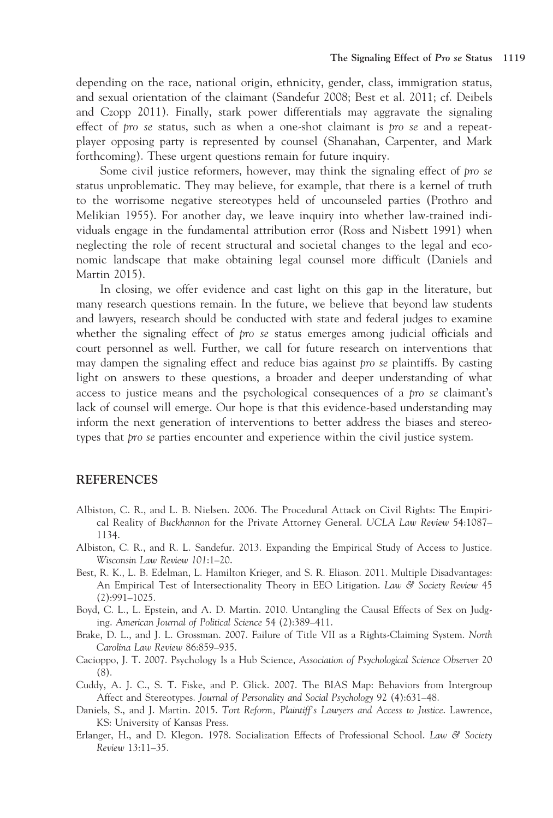depending on the race, national origin, ethnicity, gender, class, immigration status, and sexual orientation of the claimant (Sandefur 2008; Best et al. 2011; cf. Deibels and Czopp 2011). Finally, stark power differentials may aggravate the signaling effect of pro se status, such as when a one-shot claimant is pro se and a repeatplayer opposing party is represented by counsel (Shanahan, Carpenter, and Mark forthcoming). These urgent questions remain for future inquiry.

Some civil justice reformers, however, may think the signaling effect of pro se status unproblematic. They may believe, for example, that there is a kernel of truth to the worrisome negative stereotypes held of uncounseled parties (Prothro and Melikian 1955). For another day, we leave inquiry into whether law-trained individuals engage in the fundamental attribution error (Ross and Nisbett 1991) when neglecting the role of recent structural and societal changes to the legal and economic landscape that make obtaining legal counsel more difficult (Daniels and Martin 2015).

In closing, we offer evidence and cast light on this gap in the literature, but many research questions remain. In the future, we believe that beyond law students and lawyers, research should be conducted with state and federal judges to examine whether the signaling effect of pro se status emerges among judicial officials and court personnel as well. Further, we call for future research on interventions that may dampen the signaling effect and reduce bias against pro se plaintiffs. By casting light on answers to these questions, a broader and deeper understanding of what access to justice means and the psychological consequences of a pro se claimant's lack of counsel will emerge. Our hope is that this evidence-based understanding may inform the next generation of interventions to better address the biases and stereotypes that pro se parties encounter and experience within the civil justice system.

#### REFERENCES

- Albiston, C. R., and L. B. Nielsen. 2006. The Procedural Attack on Civil Rights: The Empirical Reality of Buckhannon for the Private Attorney General. UCLA Law Review 54:1087– 1134.
- Albiston, C. R., and R. L. Sandefur. 2013. Expanding the Empirical Study of Access to Justice. Wisconsin Law Review 101:1–20.
- Best, R. K., L. B. Edelman, L. Hamilton Krieger, and S. R. Eliason. 2011. Multiple Disadvantages: An Empirical Test of Intersectionality Theory in EEO Litigation. Law  $\mathcal{C}$  Society Review 45 (2):991–1025.
- Boyd, C. L., L. Epstein, and A. D. Martin. 2010. Untangling the Causal Effects of Sex on Judging. American Journal of Political Science 54 (2):389–411.
- Brake, D. L., and J. L. Grossman. 2007. Failure of Title VII as a Rights-Claiming System. North Carolina Law Review 86:859–935.
- Cacioppo, J. T. 2007. Psychology Is a Hub Science, Association of Psychological Science Observer 20 (8).
- Cuddy, A. J. C., S. T. Fiske, and P. Glick. 2007. The BIAS Map: Behaviors from Intergroup Affect and Stereotypes. Journal of Personality and Social Psychology 92 (4):631–48.
- Daniels, S., and J. Martin. 2015. Tort Reform, Plaintiff's Lawyers and Access to Justice. Lawrence, KS: University of Kansas Press.
- Erlanger, H., and D. Klegon. 1978. Socialization Effects of Professional School. Law & Society Review 13:11–35.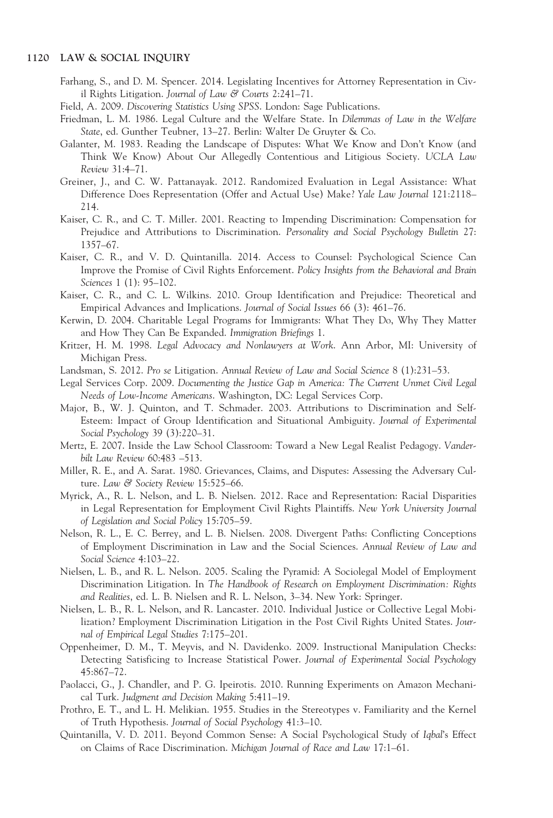- Farhang, S., and D. M. Spencer. 2014. Legislating Incentives for Attorney Representation in Civil Rights Litigation. Journal of Law & Courts 2:241–71.
- Field, A. 2009. Discovering Statistics Using SPSS. London: Sage Publications.
- Friedman, L. M. 1986. Legal Culture and the Welfare State. In Dilemmas of Law in the Welfare State, ed. Gunther Teubner, 13–27. Berlin: Walter De Gruyter & Co.
- Galanter, M. 1983. Reading the Landscape of Disputes: What We Know and Don't Know (and Think We Know) About Our Allegedly Contentious and Litigious Society. UCLA Law Review 31:4–71.
- Greiner, J., and C. W. Pattanayak. 2012. Randomized Evaluation in Legal Assistance: What Difference Does Representation (Offer and Actual Use) Make? Yale Law Journal 121:2118– 214.
- Kaiser, C. R., and C. T. Miller. 2001. Reacting to Impending Discrimination: Compensation for Prejudice and Attributions to Discrimination. Personality and Social Psychology Bulletin 27: 1357–67.
- Kaiser, C. R., and V. D. Quintanilla. 2014. Access to Counsel: Psychological Science Can Improve the Promise of Civil Rights Enforcement. Policy Insights from the Behavioral and Brain Sciences 1 (1): 95–102.
- Kaiser, C. R., and C. L. Wilkins. 2010. Group Identification and Prejudice: Theoretical and Empirical Advances and Implications. Journal of Social Issues 66 (3): 461–76.
- Kerwin, D. 2004. Charitable Legal Programs for Immigrants: What They Do, Why They Matter and How They Can Be Expanded. Immigration Briefings 1.
- Kritzer, H. M. 1998. Legal Advocacy and Nonlawyers at Work. Ann Arbor, MI: University of Michigan Press.
- Landsman, S. 2012. Pro se Litigation. Annual Review of Law and Social Science 8 (1):231–53.
- Legal Services Corp. 2009. Documenting the Justice Gap in America: The Current Unmet Civil Legal Needs of Low-Income Americans. Washington, DC: Legal Services Corp.
- Major, B., W. J. Quinton, and T. Schmader. 2003. Attributions to Discrimination and Self-Esteem: Impact of Group Identification and Situational Ambiguity. Journal of Experimental Social Psychology 39 (3):220–31.
- Mertz, E. 2007. Inside the Law School Classroom: Toward a New Legal Realist Pedagogy. Vanderbilt Law Review 60:483 –513.
- Miller, R. E., and A. Sarat. 1980. Grievances, Claims, and Disputes: Assessing the Adversary Culture. Law & Society Review 15:525-66.
- Myrick, A., R. L. Nelson, and L. B. Nielsen. 2012. Race and Representation: Racial Disparities in Legal Representation for Employment Civil Rights Plaintiffs. New York University Journal of Legislation and Social Policy 15:705–59.
- Nelson, R. L., E. C. Berrey, and L. B. Nielsen. 2008. Divergent Paths: Conflicting Conceptions of Employment Discrimination in Law and the Social Sciences. Annual Review of Law and Social Science 4:103–22.
- Nielsen, L. B., and R. L. Nelson. 2005. Scaling the Pyramid: A Sociolegal Model of Employment Discrimination Litigation. In The Handbook of Research on Employment Discrimination: Rights and Realities, ed. L. B. Nielsen and R. L. Nelson, 3–34. New York: Springer.
- Nielsen, L. B., R. L. Nelson, and R. Lancaster. 2010. Individual Justice or Collective Legal Mobilization? Employment Discrimination Litigation in the Post Civil Rights United States. Journal of Empirical Legal Studies 7:175–201.
- Oppenheimer, D. M., T. Meyvis, and N. Davidenko. 2009. Instructional Manipulation Checks: Detecting Satisficing to Increase Statistical Power. Journal of Experimental Social Psychology 45:867–72.
- Paolacci, G., J. Chandler, and P. G. Ipeirotis. 2010. Running Experiments on Amazon Mechanical Turk. Judgment and Decision Making 5:411–19.
- Prothro, E. T., and L. H. Melikian. 1955. Studies in the Stereotypes v. Familiarity and the Kernel of Truth Hypothesis. Journal of Social Psychology 41:3–10.
- Quintanilla, V. D. 2011. Beyond Common Sense: A Social Psychological Study of Iqbal's Effect on Claims of Race Discrimination. Michigan Journal of Race and Law 17:1–61.